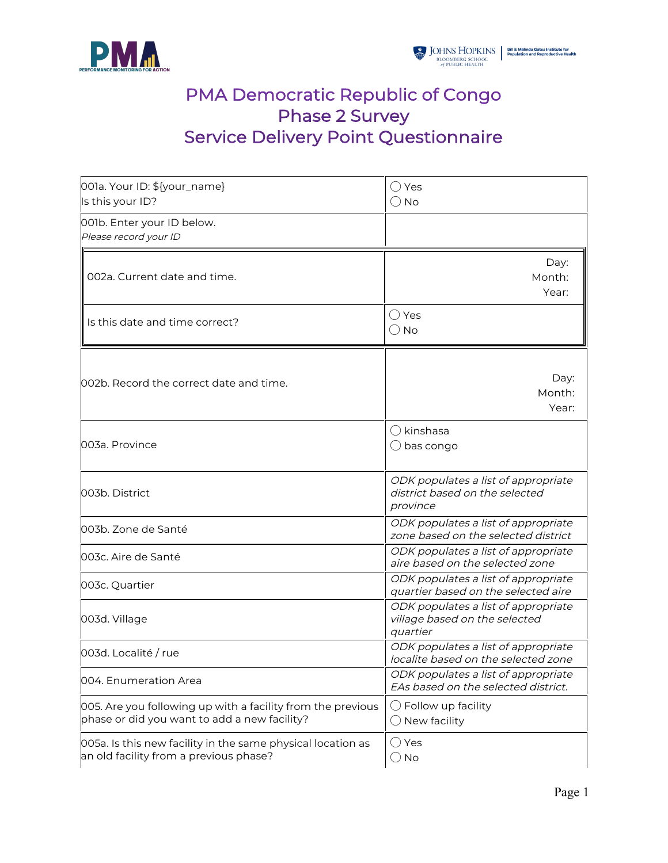

# PMA Democratic Republic of Congo Phase 2 Survey Service Delivery Point Questionnaire

| 001a. Your ID: \${your_name}<br>Is this your ID?                                                            | Yes<br>$\bigcirc$ No                                                              |
|-------------------------------------------------------------------------------------------------------------|-----------------------------------------------------------------------------------|
| 001b. Enter your ID below.<br>Please record your ID                                                         |                                                                                   |
| 002a. Current date and time.                                                                                | Day:<br>Month:<br>Year:                                                           |
| Is this date and time correct?                                                                              | ○ Yes<br>$\bigcirc$ No                                                            |
| l002b. Record the correct date and time.                                                                    | Day:<br>Month:<br>Year:                                                           |
| 003a. Province                                                                                              | ( ) kinshasa<br>$\bigcirc$ bas congo                                              |
| 003b. District                                                                                              | ODK populates a list of appropriate<br>district based on the selected<br>province |
| l003b. Zone de Santé                                                                                        | ODK populates a list of appropriate<br>zone based on the selected district        |
| 003c. Aire de Santé                                                                                         | ODK populates a list of appropriate<br>aire based on the selected zone            |
| 003c. Quartier                                                                                              | ODK populates a list of appropriate<br>quartier based on the selected aire        |
| 003d. Village                                                                                               | ODK populates a list of appropriate<br>village based on the selected<br>quartier  |
| 003d. Localité / rue                                                                                        | ODK populates a list of appropriate<br>localite based on the selected zone        |
| 004. Enumeration Area                                                                                       | ODK populates a list of appropriate<br>EAs based on the selected district.        |
| 005. Are you following up with a facility from the previous<br>phase or did you want to add a new facility? | $\bigcirc$ Follow up facility<br>$\bigcirc$ New facility                          |
| 005a. Is this new facility in the same physical location as<br>an old facility from a previous phase?       | $\bigcirc$ Yes<br>$\bigcirc$ No                                                   |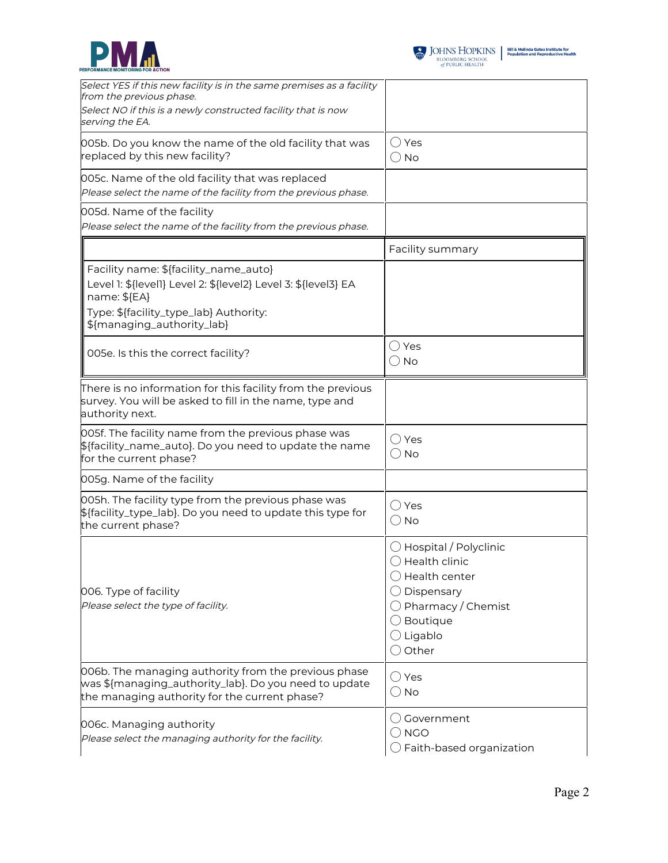



| Select YES if this new facility is in the same premises as a facility<br>from the previous phase.<br>Select NO if this is a newly constructed facility that is now<br>serving the EA.           |                                                                                                                                                                                                          |
|-------------------------------------------------------------------------------------------------------------------------------------------------------------------------------------------------|----------------------------------------------------------------------------------------------------------------------------------------------------------------------------------------------------------|
| 005b. Do you know the name of the old facility that was<br>replaced by this new facility?                                                                                                       | $\bigcirc$ Yes<br>$\bigcirc$ No                                                                                                                                                                          |
| 005c. Name of the old facility that was replaced<br>Please select the name of the facility from the previous phase.                                                                             |                                                                                                                                                                                                          |
| 005d. Name of the facility<br>Please select the name of the facility from the previous phase.                                                                                                   |                                                                                                                                                                                                          |
|                                                                                                                                                                                                 | Facility summary                                                                                                                                                                                         |
| Facility name: \${facility_name_auto}<br>Level 1: \${level1} Level 2: \${level2} Level 3: \${level3} EA<br>name: \${EA}<br>Type: \${facility_type_lab} Authority:<br>\${managing_authority_lab} |                                                                                                                                                                                                          |
| 005e. Is this the correct facility?                                                                                                                                                             | $\bigcirc$ Yes<br>$\bigcirc$ No                                                                                                                                                                          |
| There is no information for this facility from the previous<br>survey. You will be asked to fill in the name, type and<br>authority next.                                                       |                                                                                                                                                                                                          |
| 005f. The facility name from the previous phase was<br>\${facility_name_auto}. Do you need to update the name<br>for the current phase?                                                         | $\bigcirc$ Yes<br>$\bigcirc$ No                                                                                                                                                                          |
| 005g. Name of the facility                                                                                                                                                                      |                                                                                                                                                                                                          |
| 005h. The facility type from the previous phase was<br>\${facility_type_lab}. Do you need to update this type for<br>the current phase?                                                         | () Yes<br>$\bigcirc$ No                                                                                                                                                                                  |
| 006. Type of facility<br>Please select the type of facility.                                                                                                                                    | $\bigcirc$ Hospital / Polyclinic<br>$\bigcirc$ Health clinic<br>$\bigcirc$ Health center<br>Dispensary<br>$\bigcirc$ Pharmacy / Chemist<br>$\bigcirc$ Boutique<br>$\bigcirc$ Ligablo<br>$\bigcirc$ Other |
| 006b. The managing authority from the previous phase<br>was \${managing_authority_lab}. Do you need to update<br>the managing authority for the current phase?                                  | $\bigcirc$ Yes<br>$\bigcirc$ No                                                                                                                                                                          |
| 006c. Managing authority<br>Please select the managing authority for the facility.                                                                                                              | () Government<br>$\bigcirc$ NGO<br>$\bigcirc$ Faith-based organization                                                                                                                                   |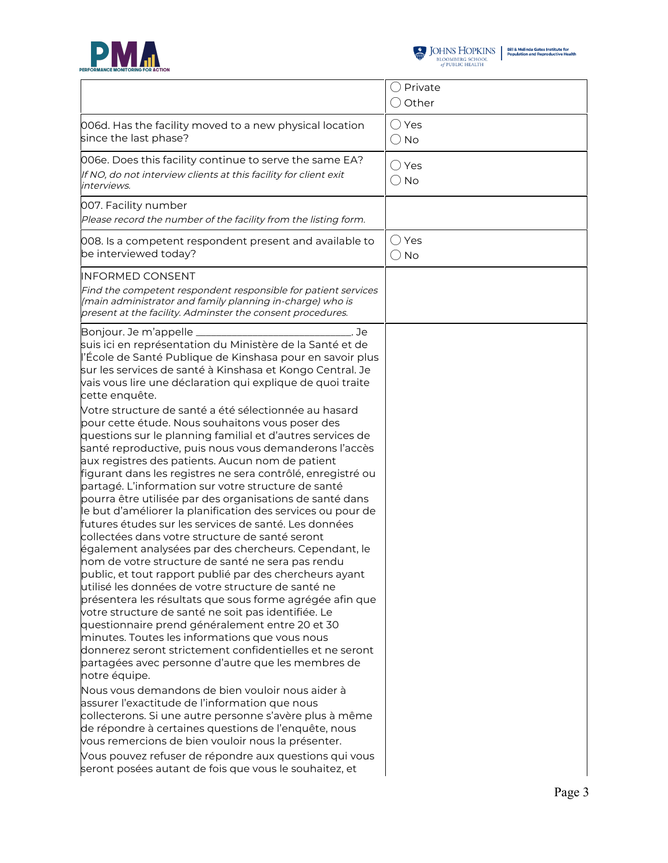



|                                                                                                                                                                                                                                                                                                                                                                                                                                                                                                                                                                                                                                                                                                                                                                                                                                                                                                                                                                                                                                                                                                                                                                                                                                                                                                                                                                                                               | $\bigcirc$ Private<br>$\bigcirc$ Other |
|---------------------------------------------------------------------------------------------------------------------------------------------------------------------------------------------------------------------------------------------------------------------------------------------------------------------------------------------------------------------------------------------------------------------------------------------------------------------------------------------------------------------------------------------------------------------------------------------------------------------------------------------------------------------------------------------------------------------------------------------------------------------------------------------------------------------------------------------------------------------------------------------------------------------------------------------------------------------------------------------------------------------------------------------------------------------------------------------------------------------------------------------------------------------------------------------------------------------------------------------------------------------------------------------------------------------------------------------------------------------------------------------------------------|----------------------------------------|
| 006d. Has the facility moved to a new physical location<br>since the last phase?                                                                                                                                                                                                                                                                                                                                                                                                                                                                                                                                                                                                                                                                                                                                                                                                                                                                                                                                                                                                                                                                                                                                                                                                                                                                                                                              | $\bigcirc$ Yes<br>$\bigcirc$ No        |
| 006e. Does this facility continue to serve the same EA?<br>If NO, do not interview clients at this facility for client exit<br>interviews.                                                                                                                                                                                                                                                                                                                                                                                                                                                                                                                                                                                                                                                                                                                                                                                                                                                                                                                                                                                                                                                                                                                                                                                                                                                                    | $\bigcirc$ Yes<br>$\bigcirc$ No        |
| 007. Facility number<br>Please record the number of the facility from the listing form.                                                                                                                                                                                                                                                                                                                                                                                                                                                                                                                                                                                                                                                                                                                                                                                                                                                                                                                                                                                                                                                                                                                                                                                                                                                                                                                       |                                        |
| 008. Is a competent respondent present and available to<br>be interviewed today?                                                                                                                                                                                                                                                                                                                                                                                                                                                                                                                                                                                                                                                                                                                                                                                                                                                                                                                                                                                                                                                                                                                                                                                                                                                                                                                              | ( )Yes<br>$\bigcirc$ No                |
| <b>INFORMED CONSENT</b><br>Find the competent respondent responsible for patient services<br>(main administrator and family planning in-charge) who is<br>present at the facility. Adminster the consent procedures.                                                                                                                                                                                                                                                                                                                                                                                                                                                                                                                                                                                                                                                                                                                                                                                                                                                                                                                                                                                                                                                                                                                                                                                          |                                        |
| Bonjour. Je m'appelle<br>Je<br>suis ici en représentation du Ministère de la Santé et de<br>l'École de Santé Publique de Kinshasa pour en savoir plus<br>sur les services de santé à Kinshasa et Kongo Central. Je<br>vais vous lire une déclaration qui explique de quoi traite<br>cette enquête.                                                                                                                                                                                                                                                                                                                                                                                                                                                                                                                                                                                                                                                                                                                                                                                                                                                                                                                                                                                                                                                                                                            |                                        |
| Votre structure de santé a été sélectionnée au hasard<br>pour cette étude. Nous souhaitons vous poser des<br>questions sur le planning familial et d'autres services de<br>santé reproductive, puis nous vous demanderons l'accès<br>aux registres des patients. Aucun nom de patient<br>figurant dans les registres ne sera contrôlé, enregistré ou<br>partagé. L'information sur votre structure de santé<br>pourra être utilisée par des organisations de santé dans<br>le but d'améliorer la planification des services ou pour de<br>futures études sur les services de santé. Les données<br>collectées dans votre structure de santé seront<br>également analysées par des chercheurs. Cependant, le<br>nom de votre structure de santé ne sera pas rendu<br>public, et tout rapport publié par des chercheurs ayant<br>utilisé les données de votre structure de santé ne<br>présentera les résultats que sous forme agrégée afin que<br>votre structure de santé ne soit pas identifiée. Le<br>questionnaire prend généralement entre 20 et 30<br>minutes. Toutes les informations que vous nous<br>donnerez seront strictement confidentielles et ne seront<br>partagées avec personne d'autre que les membres de<br>notre équipe.<br>Nous vous demandons de bien vouloir nous aider à<br>assurer l'exactitude de l'information que nous<br>collecterons. Si une autre personne s'avère plus à même |                                        |
| de répondre à certaines questions de l'enquête, nous<br>vous remercions de bien vouloir nous la présenter.<br>Vous pouvez refuser de répondre aux questions qui vous<br>seront posées autant de fois que vous le souhaitez, et                                                                                                                                                                                                                                                                                                                                                                                                                                                                                                                                                                                                                                                                                                                                                                                                                                                                                                                                                                                                                                                                                                                                                                                |                                        |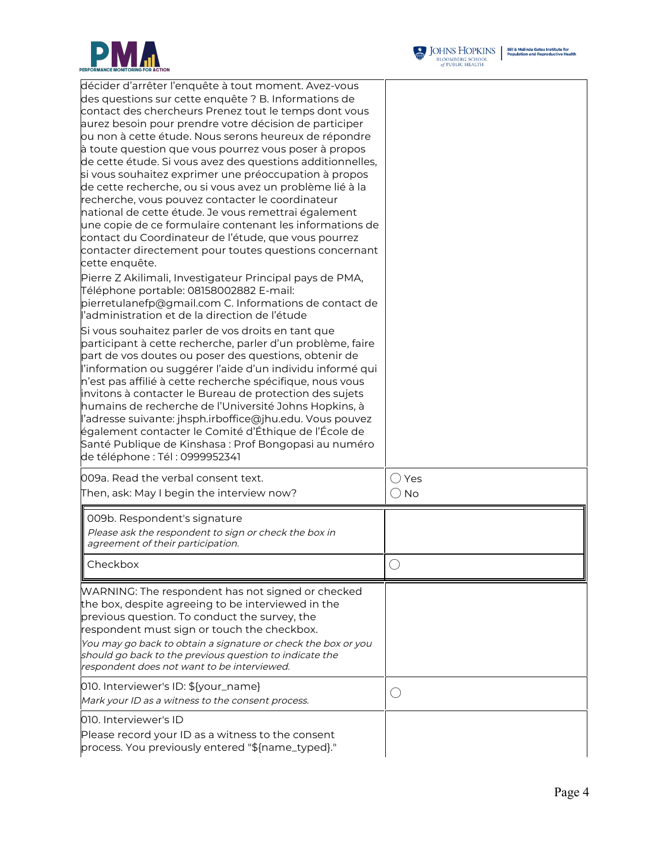



| décider d'arrêter l'enquête à tout moment. Avez-vous<br>des questions sur cette enquête ? B. Informations de<br>contact des chercheurs Prenez tout le temps dont vous<br>aurez besoin pour prendre votre décision de participer<br>ou non à cette étude. Nous serons heureux de répondre<br>à toute question que vous pourrez vous poser à propos<br>de cette étude. Si vous avez des questions additionnelles,<br>si vous souhaitez exprimer une préoccupation à propos<br>de cette recherche, ou si vous avez un problème lié à la<br>recherche, vous pouvez contacter le coordinateur<br>national de cette étude. Je vous remettrai également<br>une copie de ce formulaire contenant les informations de<br>contact du Coordinateur de l'étude, que vous pourrez<br>contacter directement pour toutes questions concernant<br>cette enquête.<br>Pierre Z Akilimali, Investigateur Principal pays de PMA,<br>Téléphone portable: 08158002882 E-mail:<br>pierretulanefp@gmail.com C. Informations de contact de<br>l'administration et de la direction de l'étude<br>Si vous souhaitez parler de vos droits en tant que<br>participant à cette recherche, parler d'un problème, faire<br>part de vos doutes ou poser des questions, obtenir de<br>l'information ou suggérer l'aide d'un individu informé qui<br>n'est pas affilié à cette recherche spécifique, nous vous<br>invitons à contacter le Bureau de protection des sujets<br>humains de recherche de l'Université Johns Hopkins, à<br>l'adresse suivante: jhsph.irboffice@jhu.edu. Vous pouvez |                                 |
|-------------------------------------------------------------------------------------------------------------------------------------------------------------------------------------------------------------------------------------------------------------------------------------------------------------------------------------------------------------------------------------------------------------------------------------------------------------------------------------------------------------------------------------------------------------------------------------------------------------------------------------------------------------------------------------------------------------------------------------------------------------------------------------------------------------------------------------------------------------------------------------------------------------------------------------------------------------------------------------------------------------------------------------------------------------------------------------------------------------------------------------------------------------------------------------------------------------------------------------------------------------------------------------------------------------------------------------------------------------------------------------------------------------------------------------------------------------------------------------------------------------------------------------------------------------|---------------------------------|
| également contacter le Comité d'Éthique de l'École de<br>Santé Publique de Kinshasa : Prof Bongopasi au numéro<br>de téléphone : Tél : 0999952341                                                                                                                                                                                                                                                                                                                                                                                                                                                                                                                                                                                                                                                                                                                                                                                                                                                                                                                                                                                                                                                                                                                                                                                                                                                                                                                                                                                                           |                                 |
| 009a. Read the verbal consent text.<br>Then, ask: May I begin the interview now?                                                                                                                                                                                                                                                                                                                                                                                                                                                                                                                                                                                                                                                                                                                                                                                                                                                                                                                                                                                                                                                                                                                                                                                                                                                                                                                                                                                                                                                                            | $\bigcirc$ Yes<br>$\bigcirc$ No |
| 009b. Respondent's signature<br>Please ask the respondent to sign or check the box in<br>agreement of their participation.                                                                                                                                                                                                                                                                                                                                                                                                                                                                                                                                                                                                                                                                                                                                                                                                                                                                                                                                                                                                                                                                                                                                                                                                                                                                                                                                                                                                                                  |                                 |
| Checkbox                                                                                                                                                                                                                                                                                                                                                                                                                                                                                                                                                                                                                                                                                                                                                                                                                                                                                                                                                                                                                                                                                                                                                                                                                                                                                                                                                                                                                                                                                                                                                    |                                 |
| WARNING: The respondent has not signed or checked<br>the box, despite agreeing to be interviewed in the<br>previous question. To conduct the survey, the<br>respondent must sign or touch the checkbox.<br>You may go back to obtain a signature or check the box or you<br>should go back to the previous question to indicate the<br>respondent does not want to be interviewed.                                                                                                                                                                                                                                                                                                                                                                                                                                                                                                                                                                                                                                                                                                                                                                                                                                                                                                                                                                                                                                                                                                                                                                          |                                 |
| 010. Interviewer's ID: \${your_name}<br>Mark your ID as a witness to the consent process.                                                                                                                                                                                                                                                                                                                                                                                                                                                                                                                                                                                                                                                                                                                                                                                                                                                                                                                                                                                                                                                                                                                                                                                                                                                                                                                                                                                                                                                                   | O                               |
| 010. Interviewer's ID<br>Please record your ID as a witness to the consent<br>process. You previously entered "\${name_typed}."                                                                                                                                                                                                                                                                                                                                                                                                                                                                                                                                                                                                                                                                                                                                                                                                                                                                                                                                                                                                                                                                                                                                                                                                                                                                                                                                                                                                                             |                                 |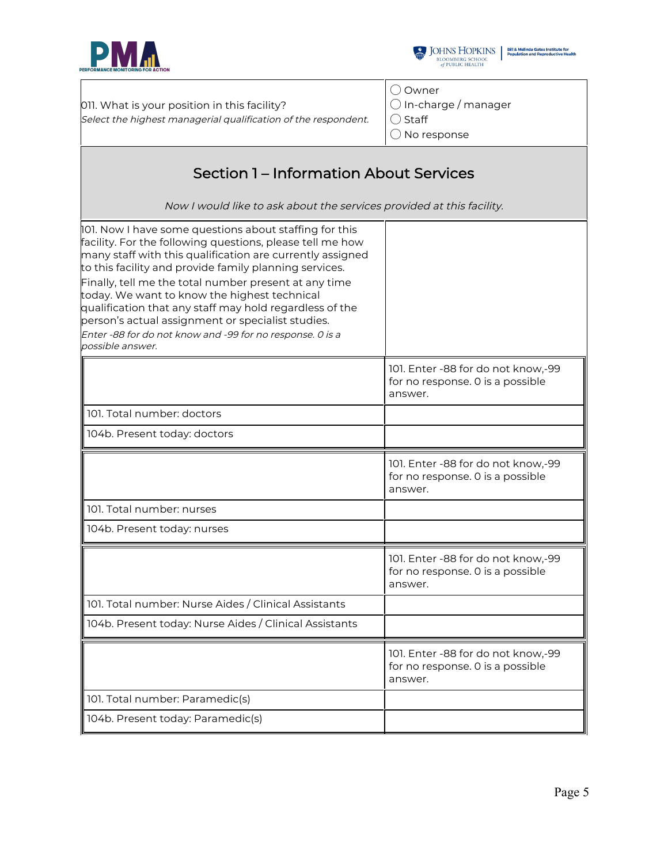



011. What is your position in this facility? Select the highest managerial qualification of the respondent

|    | ○ Owner                        |
|----|--------------------------------|
|    | $\bigcirc$ In-charge / manager |
| t. | $\bigcirc$ Staff               |
|    | $\bigcirc$ No response         |
|    |                                |

## Section 1 – Information About Services

Now I would like to ask about the services provided at this facility.

| 101. Now I have some questions about staffing for this<br>facility. For the following questions, please tell me how<br>many staff with this qualification are currently assigned<br>to this facility and provide family planning services.<br>Finally, tell me the total number present at any time<br>today. We want to know the highest technical<br>qualification that any staff may hold regardless of the<br>person's actual assignment or specialist studies.<br>Enter -88 for do not know and -99 for no response. O is a<br>possible answer. |                                                                                   |
|------------------------------------------------------------------------------------------------------------------------------------------------------------------------------------------------------------------------------------------------------------------------------------------------------------------------------------------------------------------------------------------------------------------------------------------------------------------------------------------------------------------------------------------------------|-----------------------------------------------------------------------------------|
|                                                                                                                                                                                                                                                                                                                                                                                                                                                                                                                                                      | 101. Enter -88 for do not know,-99<br>for no response. 0 is a possible<br>answer. |
| 101. Total number: doctors                                                                                                                                                                                                                                                                                                                                                                                                                                                                                                                           |                                                                                   |
| 104b. Present today: doctors                                                                                                                                                                                                                                                                                                                                                                                                                                                                                                                         |                                                                                   |
|                                                                                                                                                                                                                                                                                                                                                                                                                                                                                                                                                      | 101. Enter -88 for do not know,-99<br>for no response. 0 is a possible<br>answer. |
| 101. Total number: nurses                                                                                                                                                                                                                                                                                                                                                                                                                                                                                                                            |                                                                                   |
| 104b. Present today: nurses                                                                                                                                                                                                                                                                                                                                                                                                                                                                                                                          |                                                                                   |
|                                                                                                                                                                                                                                                                                                                                                                                                                                                                                                                                                      | 101. Enter -88 for do not know,-99<br>for no response. 0 is a possible<br>answer. |
| 101. Total number: Nurse Aides / Clinical Assistants                                                                                                                                                                                                                                                                                                                                                                                                                                                                                                 |                                                                                   |
| 104b. Present today: Nurse Aides / Clinical Assistants                                                                                                                                                                                                                                                                                                                                                                                                                                                                                               |                                                                                   |
|                                                                                                                                                                                                                                                                                                                                                                                                                                                                                                                                                      | 101. Enter -88 for do not know,-99<br>for no response. O is a possible<br>answer. |
| 101. Total number: Paramedic(s)                                                                                                                                                                                                                                                                                                                                                                                                                                                                                                                      |                                                                                   |
| 104b. Present today: Paramedic(s)                                                                                                                                                                                                                                                                                                                                                                                                                                                                                                                    |                                                                                   |
|                                                                                                                                                                                                                                                                                                                                                                                                                                                                                                                                                      |                                                                                   |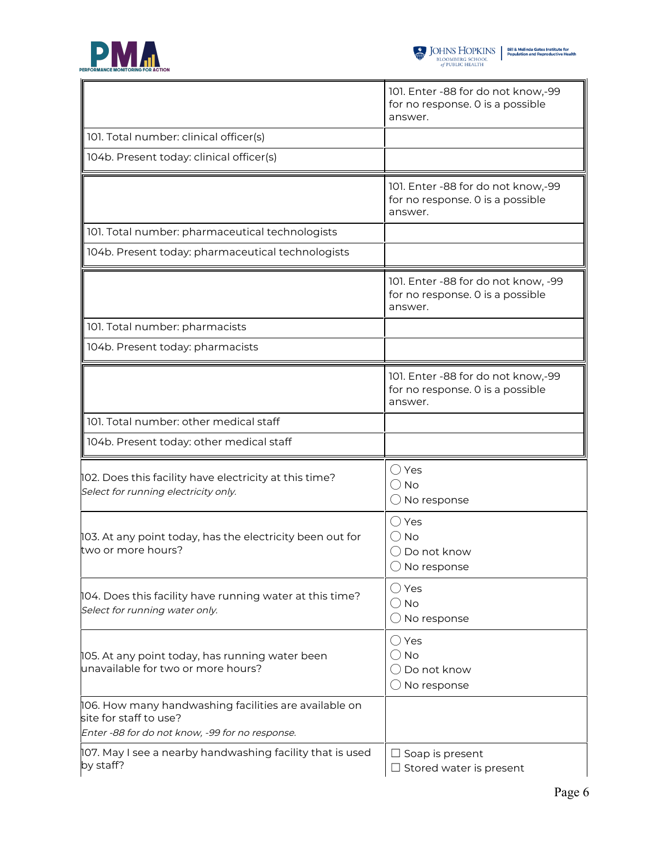



|                                                                                                                                    | 101. Enter -88 for do not know,-99<br>for no response. 0 is a possible<br>answer.   |  |
|------------------------------------------------------------------------------------------------------------------------------------|-------------------------------------------------------------------------------------|--|
| 101. Total number: clinical officer(s)                                                                                             |                                                                                     |  |
| 104b. Present today: clinical officer(s)                                                                                           |                                                                                     |  |
|                                                                                                                                    | 101. Enter -88 for do not know,-99<br>for no response. 0 is a possible<br>answer.   |  |
| 101. Total number: pharmaceutical technologists                                                                                    |                                                                                     |  |
| 104b. Present today: pharmaceutical technologists                                                                                  |                                                                                     |  |
|                                                                                                                                    | 101. Enter -88 for do not know, -99<br>for no response. 0 is a possible<br>answer.  |  |
| 101. Total number: pharmacists                                                                                                     |                                                                                     |  |
| 104b. Present today: pharmacists                                                                                                   |                                                                                     |  |
|                                                                                                                                    | 101. Enter -88 for do not know,-99<br>for no response. 0 is a possible<br>answer.   |  |
| 101. Total number: other medical staff                                                                                             |                                                                                     |  |
| 104b. Present today: other medical staff                                                                                           |                                                                                     |  |
| 102. Does this facility have electricity at this time?<br>Select for running electricity only.                                     | $\bigcirc$ Yes<br>$\bigcirc$ No<br>$\bigcirc$ No response                           |  |
| 103. At any point today, has the electricity been out for<br>two or more hours?                                                    | $\bigcirc$ Yes<br>$\bigcirc$ No<br>( ) Do not know<br>( ) No response               |  |
| $\vert$ 104. Does this facility have running water at this time?<br>Select for running water only.                                 | $\bigcirc$ Yes<br>$\bigcirc$ No<br>$\bigcirc$ No response                           |  |
| 105. At any point today, has running water been<br>unavailable for two or more hours?                                              | $\bigcirc$ Yes<br>$\bigcirc$ No<br>$\bigcirc$ Do not know<br>$\bigcirc$ No response |  |
| 106. How many handwashing facilities are available on<br>site for staff to use?<br>Enter -88 for do not know, -99 for no response. |                                                                                     |  |
| 107. May I see a nearby handwashing facility that is used<br>by staff?                                                             | $\Box$ Soap is present<br>$\Box$ Stored water is present                            |  |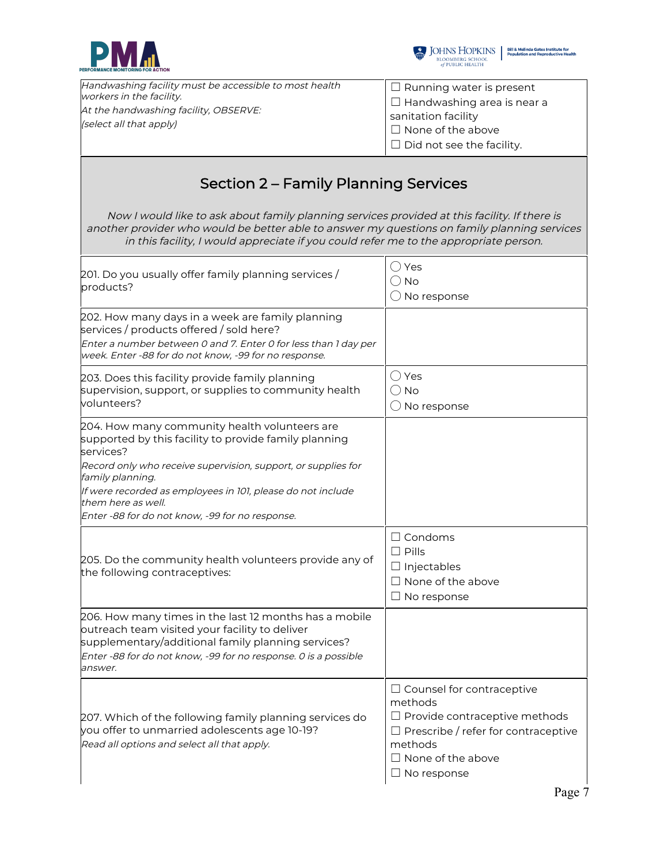



| Handwashing facility must be accessible to most health           | $\Box$ Running water is present   |
|------------------------------------------------------------------|-----------------------------------|
| workers in the facility.                                         | $\Box$ Handwashing area is near a |
| At the handwashing facility, OBSERVE:<br>(select all that apply) | sanitation facility               |
|                                                                  | $\Box$ None of the above          |
|                                                                  | $\Box$ Did not see the facility.  |

### Section 2 – Family Planning Services

Now I would like to ask about family planning services provided at this facility. If there is another provider who would be better able to answer my questions on family planning services in this facility, I would appreciate if you could refer me to the appropriate person.

| 201. Do you usually offer family planning services /<br>products?                                                                                                                                                                            | () Yes<br>() No<br>$\bigcirc$ No response                                                                                                                                                      |
|----------------------------------------------------------------------------------------------------------------------------------------------------------------------------------------------------------------------------------------------|------------------------------------------------------------------------------------------------------------------------------------------------------------------------------------------------|
| 202. How many days in a week are family planning<br>services / products offered / sold here?<br>Enter a number between 0 and 7. Enter 0 for less than 1 day per<br>week. Enter -88 for do not know, -99 for no response.                     |                                                                                                                                                                                                |
| 203. Does this facility provide family planning<br>supervision, support, or supplies to community health<br>volunteers?                                                                                                                      | $\bigcirc$ Yes<br>$\bigcirc$ No<br>$\bigcirc$ No response                                                                                                                                      |
| 204. How many community health volunteers are<br>supported by this facility to provide family planning<br>services?                                                                                                                          |                                                                                                                                                                                                |
| Record only who receive supervision, support, or supplies for<br>family planning.<br>If were recorded as employees in 101, please do not include<br>them here as well.<br>Enter -88 for do not know, -99 for no response.                    |                                                                                                                                                                                                |
| 205. Do the community health volunteers provide any of<br>the following contraceptives:                                                                                                                                                      | $\Box$ Condoms<br>$\Box$ Pills<br>$\Box$ Injectables<br>$\Box$ None of the above<br>$\Box$ No response                                                                                         |
| 206. How many times in the last 12 months has a mobile<br>outreach team visited your facility to deliver<br>supplementary/additional family planning services?<br>Enter -88 for do not know, -99 for no response. 0 is a possible<br>answer. |                                                                                                                                                                                                |
| 207. Which of the following family planning services do<br>you offer to unmarried adolescents age 10-19?<br>Read all options and select all that apply.                                                                                      | $\Box$ Counsel for contraceptive<br>methods<br>$\Box$ Provide contraceptive methods<br>$\Box$ Prescribe / refer for contraceptive<br>methods<br>$\Box$ None of the above<br>$\Box$ No response |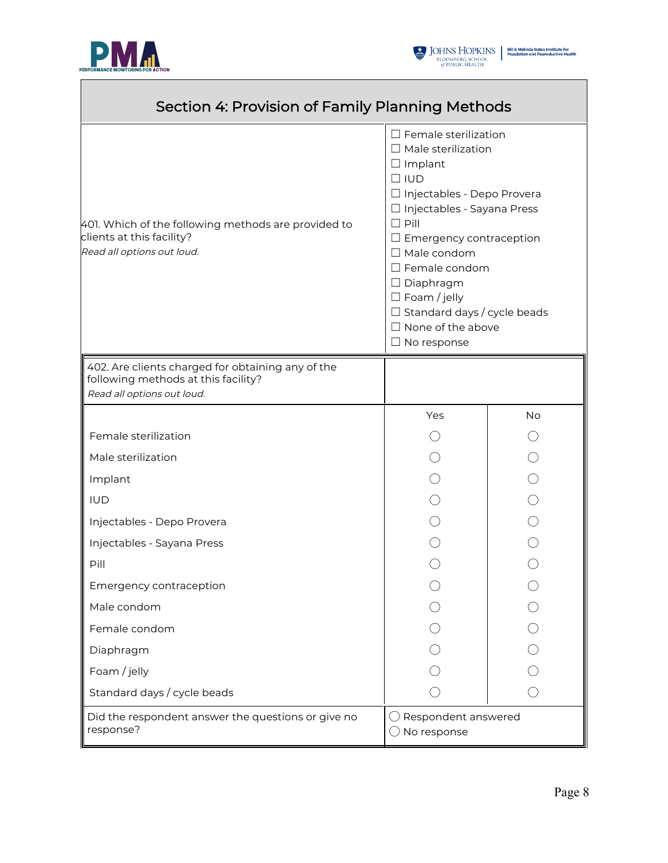

Г



٦

| Section 4: Provision of Family Planning Methods                                                                        |                                                                                                                                                                                                                                                                                                                                                                                            |           |
|------------------------------------------------------------------------------------------------------------------------|--------------------------------------------------------------------------------------------------------------------------------------------------------------------------------------------------------------------------------------------------------------------------------------------------------------------------------------------------------------------------------------------|-----------|
| 401. Which of the following methods are provided to<br>clients at this facility?<br>Read all options out loud.         | $\Box$ Female sterilization<br>$\Box$ Male sterilization<br>$\Box$ Implant<br>$\Box$ IUD<br>□ Injectables - Depo Provera<br>□ Injectables - Sayana Press<br>$\Box$ Pill<br>$\Box$ Emergency contraception<br>$\Box$ Male condom<br>$\Box$ Female condom<br>$\Box$ Diaphragm<br>$\Box$ Foam / jelly<br>$\Box$ Standard days / cycle beads<br>$\Box$ None of the above<br>$\Box$ No response |           |
| 402. Are clients charged for obtaining any of the<br>following methods at this facility?<br>Read all options out loud. |                                                                                                                                                                                                                                                                                                                                                                                            |           |
|                                                                                                                        | Yes                                                                                                                                                                                                                                                                                                                                                                                        | <b>No</b> |
| Female sterilization                                                                                                   |                                                                                                                                                                                                                                                                                                                                                                                            |           |
| Male sterilization                                                                                                     |                                                                                                                                                                                                                                                                                                                                                                                            |           |
| Implant                                                                                                                |                                                                                                                                                                                                                                                                                                                                                                                            |           |
| <b>IUD</b>                                                                                                             |                                                                                                                                                                                                                                                                                                                                                                                            |           |
| Injectables - Depo Provera                                                                                             |                                                                                                                                                                                                                                                                                                                                                                                            |           |
| Injectables - Sayana Press                                                                                             |                                                                                                                                                                                                                                                                                                                                                                                            |           |
| Pill                                                                                                                   |                                                                                                                                                                                                                                                                                                                                                                                            |           |
| Emergency contraception                                                                                                |                                                                                                                                                                                                                                                                                                                                                                                            |           |
| Male condom                                                                                                            |                                                                                                                                                                                                                                                                                                                                                                                            |           |
| Female condom                                                                                                          |                                                                                                                                                                                                                                                                                                                                                                                            |           |
| Diaphragm                                                                                                              |                                                                                                                                                                                                                                                                                                                                                                                            |           |
| Foam / jelly                                                                                                           |                                                                                                                                                                                                                                                                                                                                                                                            |           |
| Standard days / cycle beads                                                                                            |                                                                                                                                                                                                                                                                                                                                                                                            |           |
| Did the respondent answer the questions or give no<br>response?                                                        | Respondent answered<br>No response                                                                                                                                                                                                                                                                                                                                                         |           |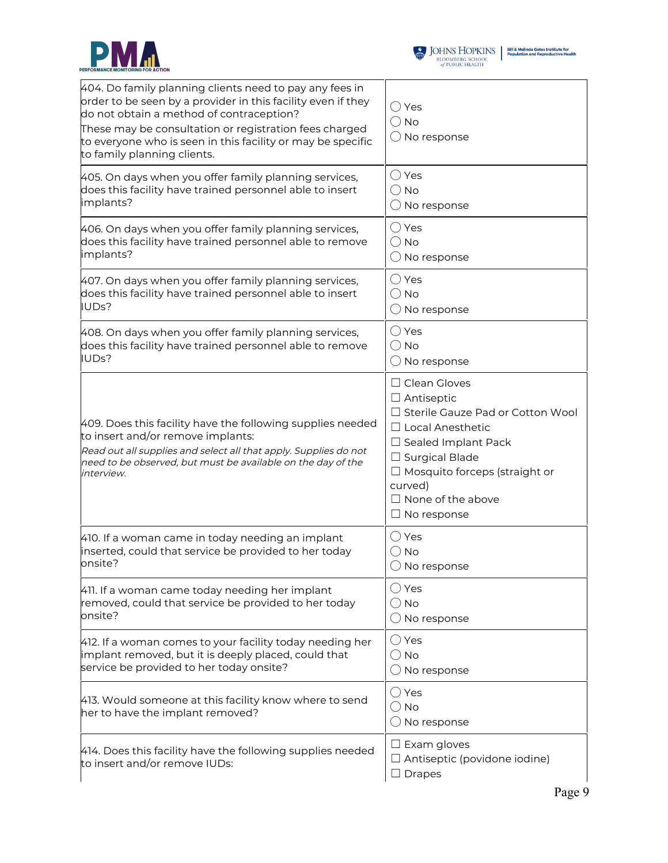



| 404. Do family planning clients need to pay any fees in<br>order to be seen by a provider in this facility even if they<br>do not obtain a method of contraception?<br>These may be consultation or registration fees charged<br>to everyone who is seen in this facility or may be specific<br>to family planning clients. | $\bigcirc$ Yes<br>$\bigcirc$ No<br>$\bigcirc$ No response                                                                                                                                                                                                             |
|-----------------------------------------------------------------------------------------------------------------------------------------------------------------------------------------------------------------------------------------------------------------------------------------------------------------------------|-----------------------------------------------------------------------------------------------------------------------------------------------------------------------------------------------------------------------------------------------------------------------|
| 405. On days when you offer family planning services,                                                                                                                                                                                                                                                                       | $\bigcirc$ Yes                                                                                                                                                                                                                                                        |
| does this facility have trained personnel able to insert                                                                                                                                                                                                                                                                    | $\bigcirc$ No                                                                                                                                                                                                                                                         |
| implants?                                                                                                                                                                                                                                                                                                                   | $\bigcirc$ No response                                                                                                                                                                                                                                                |
| 406. On days when you offer family planning services,                                                                                                                                                                                                                                                                       | $\bigcirc$ Yes                                                                                                                                                                                                                                                        |
| does this facility have trained personnel able to remove                                                                                                                                                                                                                                                                    | $\bigcirc$ No                                                                                                                                                                                                                                                         |
| implants?                                                                                                                                                                                                                                                                                                                   | $\bigcirc$ No response                                                                                                                                                                                                                                                |
| 407. On days when you offer family planning services,                                                                                                                                                                                                                                                                       | $\bigcirc$ Yes                                                                                                                                                                                                                                                        |
| does this facility have trained personnel able to insert                                                                                                                                                                                                                                                                    | $\bigcirc$ No                                                                                                                                                                                                                                                         |
| IUDs?                                                                                                                                                                                                                                                                                                                       | $\bigcirc$ No response                                                                                                                                                                                                                                                |
| 408. On days when you offer family planning services,                                                                                                                                                                                                                                                                       | $\bigcirc$ Yes                                                                                                                                                                                                                                                        |
| does this facility have trained personnel able to remove                                                                                                                                                                                                                                                                    | $\bigcirc$ No                                                                                                                                                                                                                                                         |
| IUDs?                                                                                                                                                                                                                                                                                                                       | $\bigcirc$ No response                                                                                                                                                                                                                                                |
| 409. Does this facility have the following supplies needed<br>to insert and/or remove implants:<br>Read out all supplies and select all that apply. Supplies do not<br>need to be observed, but must be available on the day of the<br>interview.                                                                           | $\Box$ Clean Gloves<br>$\Box$ Antiseptic<br>□ Sterile Gauze Pad or Cotton Wool<br>$\Box$ Local Anesthetic<br>$\Box$ Sealed Implant Pack<br>$\Box$ Surgical Blade<br>$\Box$ Mosquito forceps (straight or<br>curved)<br>$\Box$ None of the above<br>$\Box$ No response |
| 410. If a woman came in today needing an implant                                                                                                                                                                                                                                                                            | $\bigcirc$ Yes                                                                                                                                                                                                                                                        |
| inserted, could that service be provided to her today                                                                                                                                                                                                                                                                       | () No                                                                                                                                                                                                                                                                 |
| onsite?                                                                                                                                                                                                                                                                                                                     | $\bigcirc$ No response                                                                                                                                                                                                                                                |
| 411. If a woman came today needing her implant                                                                                                                                                                                                                                                                              | $\bigcirc$ Yes                                                                                                                                                                                                                                                        |
| removed, could that service be provided to her today                                                                                                                                                                                                                                                                        | $\bigcirc$ No                                                                                                                                                                                                                                                         |
| onsite?                                                                                                                                                                                                                                                                                                                     | $\bigcirc$ No response                                                                                                                                                                                                                                                |
| 412. If a woman comes to your facility today needing her                                                                                                                                                                                                                                                                    | $\bigcirc$ Yes                                                                                                                                                                                                                                                        |
| implant removed, but it is deeply placed, could that                                                                                                                                                                                                                                                                        | $\bigcirc$ No                                                                                                                                                                                                                                                         |
| service be provided to her today onsite?                                                                                                                                                                                                                                                                                    | $\bigcirc$ No response                                                                                                                                                                                                                                                |
| 413. Would someone at this facility know where to send<br>her to have the implant removed?                                                                                                                                                                                                                                  | $\bigcirc$ Yes<br>$\bigcirc$ No<br>$\bigcirc$ No response                                                                                                                                                                                                             |
| 414. Does this facility have the following supplies needed<br>to insert and/or remove IUDs:                                                                                                                                                                                                                                 | $\square$ Exam gloves<br>$\Box$ Antiseptic (povidone iodine)<br>$\Box$ Drapes                                                                                                                                                                                         |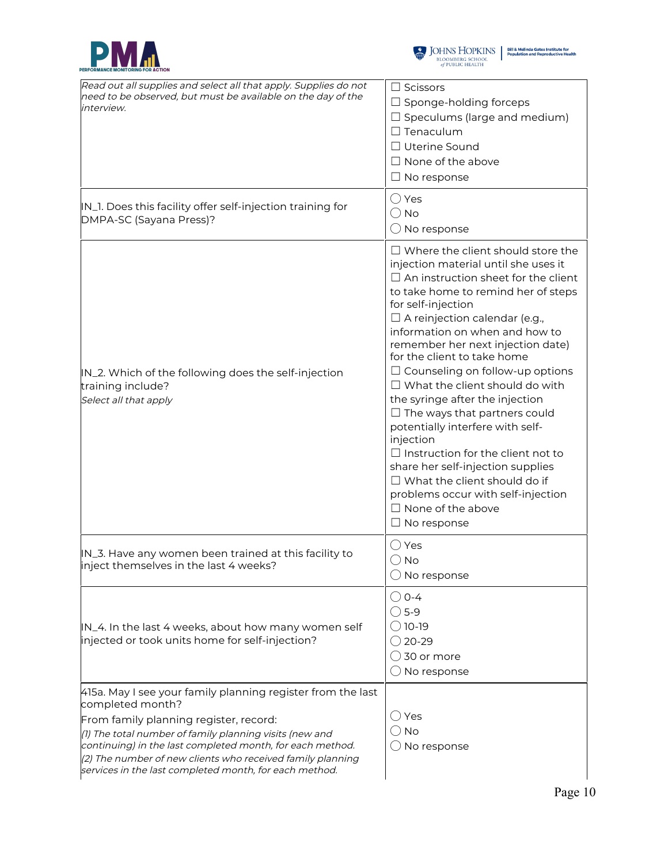



| Read out all supplies and select all that apply. Supplies do not<br>need to be observed, but must be available on the day of the<br>interview.                                                                                                                                                                                                                            | $\Box$ Scissors<br>$\Box$ Sponge-holding forceps<br>$\Box$ Speculums (large and medium)<br>$\Box$ Tenaculum<br>□ Uterine Sound<br>$\Box$ None of the above<br>$\Box$ No response                                                                                                                                                                                                                                                                                                                                                                                                                                                                                                                                                                                        |
|---------------------------------------------------------------------------------------------------------------------------------------------------------------------------------------------------------------------------------------------------------------------------------------------------------------------------------------------------------------------------|-------------------------------------------------------------------------------------------------------------------------------------------------------------------------------------------------------------------------------------------------------------------------------------------------------------------------------------------------------------------------------------------------------------------------------------------------------------------------------------------------------------------------------------------------------------------------------------------------------------------------------------------------------------------------------------------------------------------------------------------------------------------------|
| IN_1. Does this facility offer self-injection training for<br>DMPA-SC (Sayana Press)?                                                                                                                                                                                                                                                                                     | $\bigcirc$ Yes<br>$\bigcirc$ No<br>$\bigcirc$ No response                                                                                                                                                                                                                                                                                                                                                                                                                                                                                                                                                                                                                                                                                                               |
| IN_2. Which of the following does the self-injection<br>training include?<br>Select all that apply                                                                                                                                                                                                                                                                        | $\Box$ Where the client should store the<br>injection material until she uses it<br>$\Box$ An instruction sheet for the client<br>to take home to remind her of steps<br>for self-injection<br>$\Box$ A reinjection calendar (e.g.,<br>information on when and how to<br>remember her next injection date)<br>for the client to take home<br>$\Box$ Counseling on follow-up options<br>$\Box$ What the client should do with<br>the syringe after the injection<br>$\Box$ The ways that partners could<br>potentially interfere with self-<br>injection<br>$\Box$ Instruction for the client not to<br>share her self-injection supplies<br>$\Box$ What the client should do if<br>problems occur with self-injection<br>$\Box$ None of the above<br>$\Box$ No response |
| IN_3. Have any women been trained at this facility to<br>inject themselves in the last 4 weeks?                                                                                                                                                                                                                                                                           | $\bigcirc$ Yes<br>$\bigcirc$ No<br>$\bigcirc$ No response                                                                                                                                                                                                                                                                                                                                                                                                                                                                                                                                                                                                                                                                                                               |
| IN_4. In the last 4 weeks, about how many women self<br>injected or took units home for self-injection?                                                                                                                                                                                                                                                                   | ◯ 0-4<br>$\bigcirc$ 5-9<br>◯ 10-19<br>$\bigcirc$ 20-29<br>$\bigcirc$ 30 or more<br>$\bigcirc$ No response                                                                                                                                                                                                                                                                                                                                                                                                                                                                                                                                                                                                                                                               |
| 415a. May I see your family planning register from the last<br>completed month?<br>From family planning register, record:<br>(1) The total number of family planning visits (new and<br>continuing) in the last completed month, for each method.<br>(2) The number of new clients who received family planning<br>services in the last completed month, for each method. | $\bigcirc$ Yes<br>() No<br>$\bigcirc$ No response                                                                                                                                                                                                                                                                                                                                                                                                                                                                                                                                                                                                                                                                                                                       |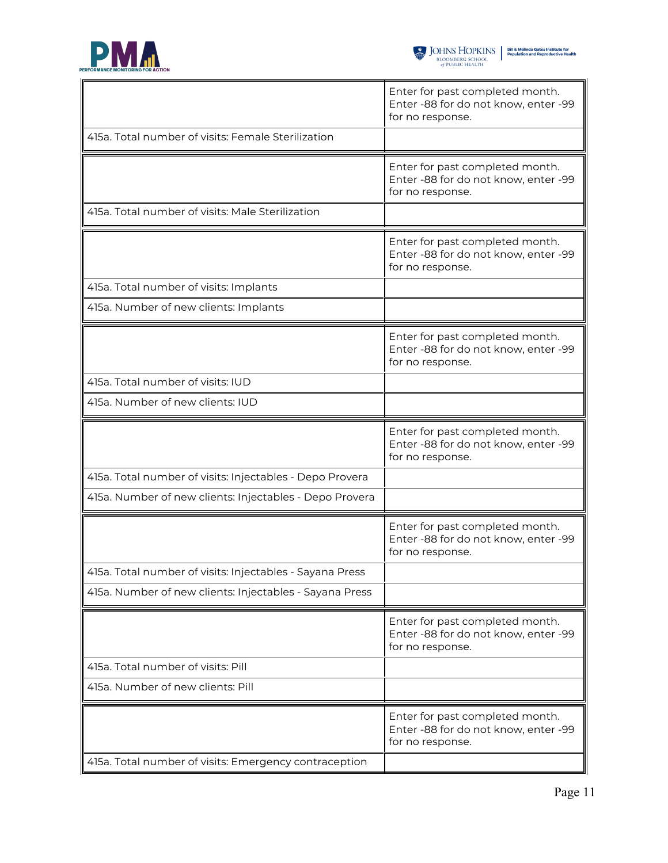

|                                                          | Enter for past completed month.<br>Enter -88 for do not know, enter -99<br>for no response. |
|----------------------------------------------------------|---------------------------------------------------------------------------------------------|
| 415a. Total number of visits: Female Sterilization       |                                                                                             |
|                                                          | Enter for past completed month.<br>Enter -88 for do not know, enter -99<br>for no response. |
| 415a. Total number of visits: Male Sterilization         |                                                                                             |
|                                                          | Enter for past completed month.<br>Enter -88 for do not know, enter -99<br>for no response. |
| 415a. Total number of visits: Implants                   |                                                                                             |
| 415a. Number of new clients: Implants                    |                                                                                             |
|                                                          | Enter for past completed month.<br>Enter -88 for do not know, enter -99<br>for no response. |
| 415a. Total number of visits: IUD                        |                                                                                             |
| 415a. Number of new clients: IUD                         |                                                                                             |
|                                                          |                                                                                             |
|                                                          | Enter for past completed month.<br>Enter -88 for do not know, enter -99<br>for no response. |
| 415a. Total number of visits: Injectables - Depo Provera |                                                                                             |
| 415a. Number of new clients: Injectables - Depo Provera  |                                                                                             |
|                                                          | Enter for past completed month.<br>Enter -88 for do not know, enter -99<br>for no response. |
| 415a. Total number of visits: Injectables - Sayana Press |                                                                                             |
| 415a. Number of new clients: Injectables - Sayana Press  |                                                                                             |
|                                                          | Enter for past completed month.<br>Enter -88 for do not know, enter -99<br>for no response. |
| 415a. Total number of visits: Pill                       |                                                                                             |
| 415a. Number of new clients: Pill                        |                                                                                             |
| 415a. Total number of visits: Emergency contraception    | Enter for past completed month.<br>Enter -88 for do not know, enter -99<br>for no response. |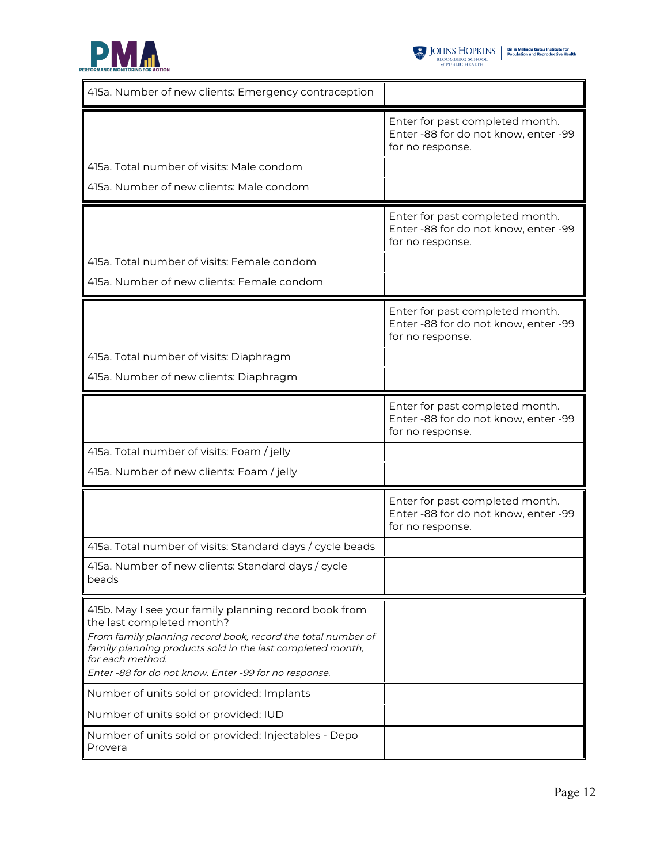

| 415a. Number of new clients: Emergency contraception                                                                                                                                                                                                                                          |                                                                                             |
|-----------------------------------------------------------------------------------------------------------------------------------------------------------------------------------------------------------------------------------------------------------------------------------------------|---------------------------------------------------------------------------------------------|
|                                                                                                                                                                                                                                                                                               | Enter for past completed month.<br>Enter -88 for do not know, enter -99<br>for no response. |
| 415a. Total number of visits: Male condom                                                                                                                                                                                                                                                     |                                                                                             |
| 415a. Number of new clients: Male condom                                                                                                                                                                                                                                                      |                                                                                             |
|                                                                                                                                                                                                                                                                                               | Enter for past completed month.<br>Enter -88 for do not know, enter -99<br>for no response. |
| 415a. Total number of visits: Female condom                                                                                                                                                                                                                                                   |                                                                                             |
| 415a. Number of new clients: Female condom                                                                                                                                                                                                                                                    |                                                                                             |
|                                                                                                                                                                                                                                                                                               | Enter for past completed month.<br>Enter -88 for do not know, enter -99<br>for no response. |
| 415a. Total number of visits: Diaphragm                                                                                                                                                                                                                                                       |                                                                                             |
| 415a. Number of new clients: Diaphragm                                                                                                                                                                                                                                                        |                                                                                             |
|                                                                                                                                                                                                                                                                                               | Enter for past completed month.<br>Enter -88 for do not know, enter -99<br>for no response. |
| 415a. Total number of visits: Foam / jelly                                                                                                                                                                                                                                                    |                                                                                             |
| 415a. Number of new clients: Foam / jelly                                                                                                                                                                                                                                                     |                                                                                             |
|                                                                                                                                                                                                                                                                                               | Enter for past completed month.<br>Enter -88 for do not know, enter -99<br>for no response. |
| 415a. Total number of visits: Standard days / cycle beads                                                                                                                                                                                                                                     |                                                                                             |
| 415a. Number of new clients: Standard days / cycle<br>beads                                                                                                                                                                                                                                   |                                                                                             |
| 415b. May I see your family planning record book from<br>the last completed month?<br>From family planning record book, record the total number of<br>family planning products sold in the last completed month,<br>for each method.<br>Enter -88 for do not know. Enter -99 for no response. |                                                                                             |
| Number of units sold or provided: Implants                                                                                                                                                                                                                                                    |                                                                                             |
| Number of units sold or provided: IUD                                                                                                                                                                                                                                                         |                                                                                             |
| Number of units sold or provided: Injectables - Depo<br>Provera                                                                                                                                                                                                                               |                                                                                             |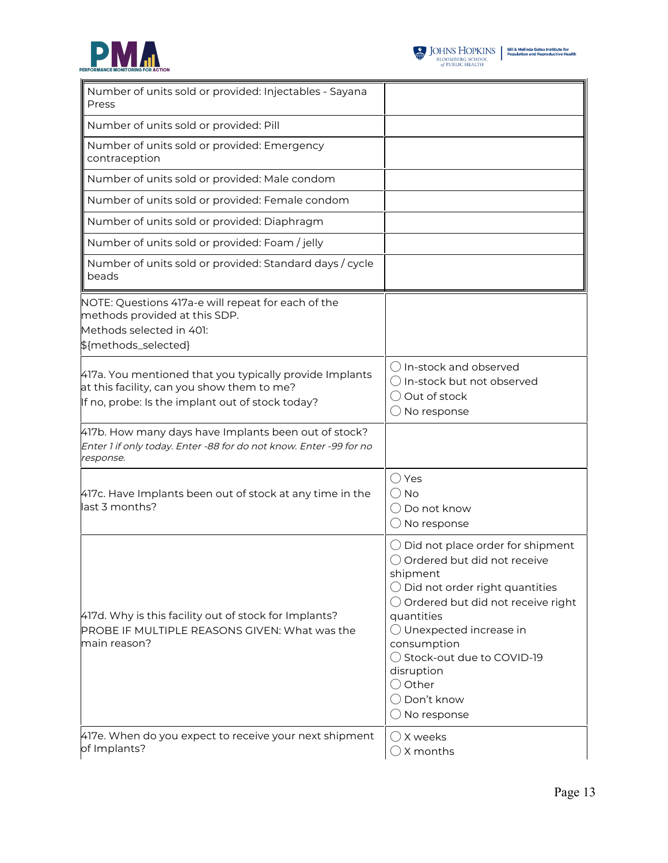



| Number of units sold or provided: Injectables - Sayana<br>Press                                                                                           |                                                                                                                                                                                                                                                                                                                                                                    |
|-----------------------------------------------------------------------------------------------------------------------------------------------------------|--------------------------------------------------------------------------------------------------------------------------------------------------------------------------------------------------------------------------------------------------------------------------------------------------------------------------------------------------------------------|
| Number of units sold or provided: Pill                                                                                                                    |                                                                                                                                                                                                                                                                                                                                                                    |
| Number of units sold or provided: Emergency<br>contraception                                                                                              |                                                                                                                                                                                                                                                                                                                                                                    |
| Number of units sold or provided: Male condom                                                                                                             |                                                                                                                                                                                                                                                                                                                                                                    |
| Number of units sold or provided: Female condom                                                                                                           |                                                                                                                                                                                                                                                                                                                                                                    |
| Number of units sold or provided: Diaphragm                                                                                                               |                                                                                                                                                                                                                                                                                                                                                                    |
| Number of units sold or provided: Foam / jelly                                                                                                            |                                                                                                                                                                                                                                                                                                                                                                    |
| Number of units sold or provided: Standard days / cycle<br>beads                                                                                          |                                                                                                                                                                                                                                                                                                                                                                    |
| NOTE: Questions 417a-e will repeat for each of the<br>methods provided at this SDP.<br>Methods selected in 401:<br>\${methods_selected}                   |                                                                                                                                                                                                                                                                                                                                                                    |
| 417a. You mentioned that you typically provide Implants<br>at this facility, can you show them to me?<br>If no, probe: Is the implant out of stock today? | () In-stock and observed<br>$\bigcirc$ In-stock but not observed<br>◯ Out of stock<br>$\bigcirc$ No response                                                                                                                                                                                                                                                       |
| 417b. How many days have Implants been out of stock?<br>Enter 1 if only today. Enter -88 for do not know. Enter -99 for no<br>response.                   |                                                                                                                                                                                                                                                                                                                                                                    |
| 417c. Have Implants been out of stock at any time in the<br>last 3 months?                                                                                | $\bigcirc$ Yes<br>$\bigcirc$ No<br>◯ Do not know<br>$\bigcirc$ No response                                                                                                                                                                                                                                                                                         |
| 417d. Why is this facility out of stock for Implants?<br>PROBE IF MULTIPLE REASONS GIVEN: What was the<br>main reason?                                    | $\bigcirc$ Did not place order for shipment<br>○ Ordered but did not receive<br>shipment<br>$\bigcirc$ Did not order right quantities<br>$\bigcirc$ Ordered but did not receive right<br>quantities<br>$\bigcirc$ Unexpected increase in<br>consumption<br>◯ Stock-out due to COVID-19<br>disruption<br>$\bigcirc$ Other<br>◯ Don't know<br>$\bigcirc$ No response |
| 417e. When do you expect to receive your next shipment<br>of Implants?                                                                                    | $\bigcirc$ X weeks<br>$\bigcirc$ X months                                                                                                                                                                                                                                                                                                                          |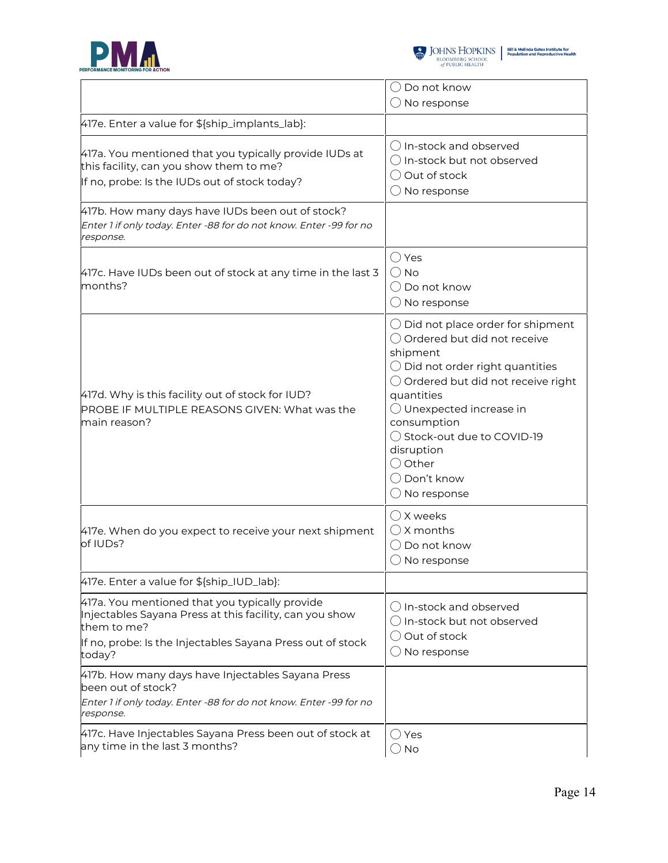



|                                                                                                                                                                                                  | $\bigcirc$ Do not know                                                                                                                                                                                                                                                                                                                                             |
|--------------------------------------------------------------------------------------------------------------------------------------------------------------------------------------------------|--------------------------------------------------------------------------------------------------------------------------------------------------------------------------------------------------------------------------------------------------------------------------------------------------------------------------------------------------------------------|
|                                                                                                                                                                                                  | $\bigcirc$ No response                                                                                                                                                                                                                                                                                                                                             |
| 417e. Enter a value for \${ship_implants_lab}:                                                                                                                                                   |                                                                                                                                                                                                                                                                                                                                                                    |
| 417a. You mentioned that you typically provide IUDs at<br>this facility, can you show them to me?<br>If no, probe: Is the IUDs out of stock today?                                               | () In-stock and observed<br>$\bigcirc$ In-stock but not observed<br>◯ Out of stock<br>$\bigcirc$ No response                                                                                                                                                                                                                                                       |
| 417b. How many days have IUDs been out of stock?<br>Enter 1 if only today. Enter -88 for do not know. Enter -99 for no<br>response.                                                              |                                                                                                                                                                                                                                                                                                                                                                    |
| 417c. Have IUDs been out of stock at any time in the last 3<br>months?                                                                                                                           | $\bigcirc$ Yes<br>$\bigcirc$ No<br>() Do not know<br>$\bigcirc$ No response                                                                                                                                                                                                                                                                                        |
| 417d. Why is this facility out of stock for IUD?<br><b>PROBE IF MULTIPLE REASONS GIVEN: What was the</b><br>main reason?                                                                         | $\bigcirc$ Did not place order for shipment<br>○ Ordered but did not receive<br>shipment<br>$\bigcirc$ Did not order right quantities<br>$\bigcirc$ Ordered but did not receive right<br>quantities<br>$\bigcirc$ Unexpected increase in<br>consumption<br>◯ Stock-out due to COVID-19<br>disruption<br>$\bigcirc$ Other<br>◯ Don't know<br>$\bigcirc$ No response |
| 417e. When do you expect to receive your next shipment<br>of IUDs?                                                                                                                               | () X weeks<br>$\bigcap$ X months<br>$\bigcirc$ Do not know<br>$\bigcirc$ No response                                                                                                                                                                                                                                                                               |
| 417e. Enter a value for \${ship_IUD_lab}:                                                                                                                                                        |                                                                                                                                                                                                                                                                                                                                                                    |
| 417a. You mentioned that you typically provide<br>Injectables Sayana Press at this facility, can you show<br>them to me?<br>If no, probe: Is the Injectables Sayana Press out of stock<br>today? | ◯ In-stock and observed<br>$\bigcirc$ In-stock but not observed<br>Out of stock<br>$\bigcirc$ No response                                                                                                                                                                                                                                                          |
| 417b. How many days have Injectables Sayana Press<br>been out of stock?<br>Enter 1 if only today. Enter -88 for do not know. Enter -99 for no                                                    |                                                                                                                                                                                                                                                                                                                                                                    |
| response.                                                                                                                                                                                        |                                                                                                                                                                                                                                                                                                                                                                    |
| 417c. Have Injectables Sayana Press been out of stock at<br>any time in the last 3 months?                                                                                                       | $\bigcirc$ Yes<br>$\bigcirc$ No                                                                                                                                                                                                                                                                                                                                    |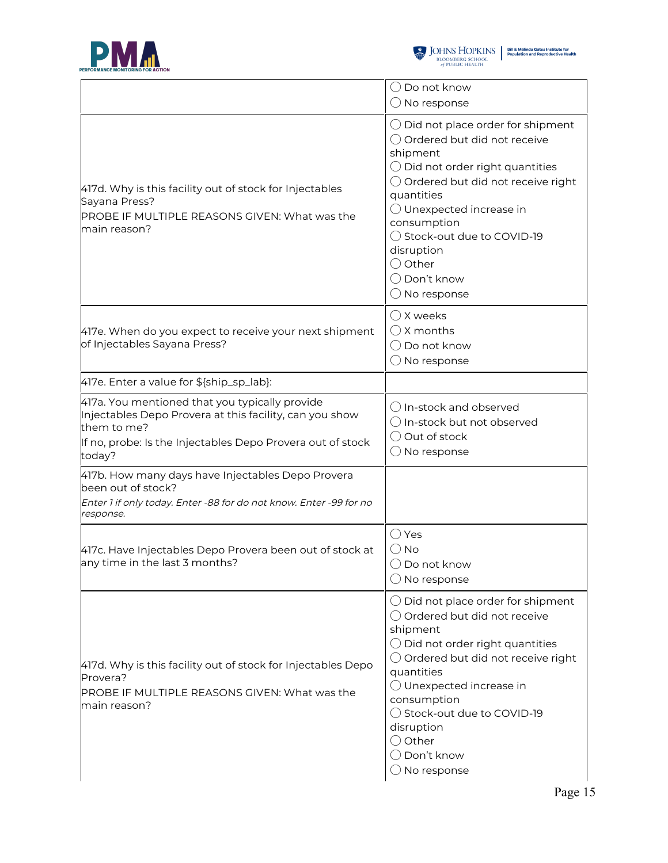



|                                                                                                                                                                                                  | $\bigcirc$ Do not know<br>$\bigcirc$ No response                                                                                                                                                                                                                                                                                                                            |
|--------------------------------------------------------------------------------------------------------------------------------------------------------------------------------------------------|-----------------------------------------------------------------------------------------------------------------------------------------------------------------------------------------------------------------------------------------------------------------------------------------------------------------------------------------------------------------------------|
| 417d. Why is this facility out of stock for Injectables<br>Sayana Press?<br>PROBE IF MULTIPLE REASONS GIVEN: What was the<br>main reason?                                                        | $\bigcirc$ Did not place order for shipment<br>○ Ordered but did not receive<br>shipment<br>$\bigcirc$ Did not order right quantities<br>$\bigcirc$ Ordered but did not receive right<br>quantities<br>$\bigcirc$ Unexpected increase in<br>consumption<br>◯ Stock-out due to COVID-19<br>disruption<br>$\bigcirc$ Other<br>$\bigcirc$ Don't know<br>$\bigcirc$ No response |
| 417e. When do you expect to receive your next shipment<br>of Injectables Sayana Press?                                                                                                           | $\bigcirc$ X weeks<br>$\bigcirc$ X months<br>$\bigcirc$ Do not know<br>$\bigcirc$ No response                                                                                                                                                                                                                                                                               |
| 417e. Enter a value for \${ship_sp_lab}:                                                                                                                                                         |                                                                                                                                                                                                                                                                                                                                                                             |
| 417a. You mentioned that you typically provide<br>Injectables Depo Provera at this facility, can you show<br>them to me?<br>If no, probe: Is the Injectables Depo Provera out of stock<br>today? | ◯ In-stock and observed<br>$\bigcirc$ In-stock but not observed<br>O Out of stock<br>$\bigcirc$ No response                                                                                                                                                                                                                                                                 |
| 417b. How many days have Injectables Depo Provera<br>been out of stock?<br>Enter 1 if only today. Enter -88 for do not know. Enter -99 for no<br>response.                                       |                                                                                                                                                                                                                                                                                                                                                                             |
| 417c. Have Injectables Depo Provera been out of stock at<br>any time in the last 3 months?                                                                                                       | $\bigcirc$ Yes<br>$\bigcirc$ No<br>( ) Do not know<br>$\bigcirc$ No response                                                                                                                                                                                                                                                                                                |
| 417d. Why is this facility out of stock for Injectables Depo<br>Provera?<br>PROBE IF MULTIPLE REASONS GIVEN: What was the<br>main reason?                                                        | $\bigcirc$ Did not place order for shipment<br>○ Ordered but did not receive<br>shipment<br>$\bigcirc$ Did not order right quantities<br>$\bigcirc$ Ordered but did not receive right<br>quantities<br>$\bigcirc$ Unexpected increase in<br>consumption<br>◯ Stock-out due to COVID-19<br>disruption<br>$\bigcirc$ Other<br>$\bigcirc$ Don't know<br>$\bigcirc$ No response |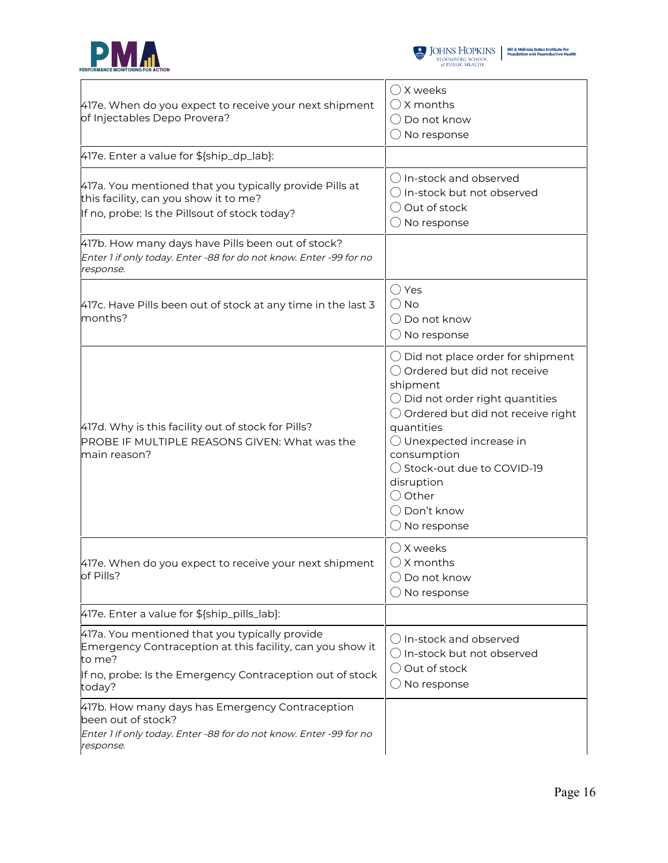



| 417e. When do you expect to receive your next shipment<br>of Injectables Depo Provera?                                                                                                       | $\bigcirc$ X weeks<br>$\bigcirc$ X months<br>$\bigcirc$ Do not know<br>$\bigcirc$ No response                                                                                                                                                                                                                                                                               |
|----------------------------------------------------------------------------------------------------------------------------------------------------------------------------------------------|-----------------------------------------------------------------------------------------------------------------------------------------------------------------------------------------------------------------------------------------------------------------------------------------------------------------------------------------------------------------------------|
| 417e. Enter a value for \${ship_dp_lab}:                                                                                                                                                     |                                                                                                                                                                                                                                                                                                                                                                             |
| 417a. You mentioned that you typically provide Pills at<br>this facility, can you show it to me?<br>If no, probe: Is the Pillsout of stock today?                                            | () In-stock and observed<br>$\bigcirc$ In-stock but not observed<br>$\bigcirc$ Out of stock<br>$\bigcirc$ No response                                                                                                                                                                                                                                                       |
| 417b. How many days have Pills been out of stock?<br>Enter 1 if only today. Enter -88 for do not know. Enter -99 for no<br>response.                                                         |                                                                                                                                                                                                                                                                                                                                                                             |
| 417c. Have Pills been out of stock at any time in the last 3<br>months?                                                                                                                      | $\bigcirc$ Yes<br>$\bigcirc$ No<br>$\bigcirc$ Do not know<br>$\bigcirc$ No response                                                                                                                                                                                                                                                                                         |
| 417d. Why is this facility out of stock for Pills?<br>PROBE IF MULTIPLE REASONS GIVEN: What was the<br>main reason?                                                                          | $\bigcirc$ Did not place order for shipment<br>○ Ordered but did not receive<br>shipment<br>$\bigcirc$ Did not order right quantities<br>$\bigcirc$ Ordered but did not receive right<br>quantities<br>$\bigcirc$ Unexpected increase in<br>consumption<br>◯ Stock-out due to COVID-19<br>disruption<br>$\bigcirc$ Other<br>$\bigcirc$ Don't know<br>$\bigcirc$ No response |
| 417e. When do you expect to receive your next shipment<br>of Pills?                                                                                                                          | $\bigcirc$ X weeks<br>$\bigcirc$ X months<br>Do not know<br>No response                                                                                                                                                                                                                                                                                                     |
| 417e. Enter a value for \${ship_pills_lab}:                                                                                                                                                  |                                                                                                                                                                                                                                                                                                                                                                             |
| 417a. You mentioned that you typically provide<br>Emergency Contraception at this facility, can you show it<br>to me?<br>If no, probe: Is the Emergency Contraception out of stock<br>today? | $\bigcirc$ In-stock and observed<br>$\bigcirc$ In-stock but not observed<br>$\bigcirc$ Out of stock<br>$\bigcirc$ No response                                                                                                                                                                                                                                               |
| 417b. How many days has Emergency Contraception<br>been out of stock?<br>Enter 1 if only today. Enter -88 for do not know. Enter -99 for no<br>response.                                     |                                                                                                                                                                                                                                                                                                                                                                             |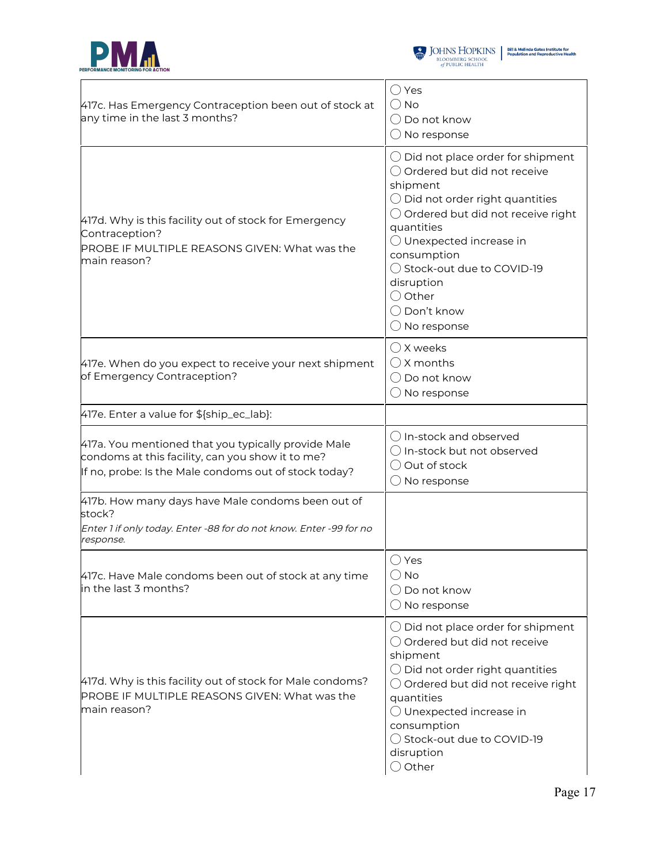



| 417c. Has Emergency Contraception been out of stock at<br>any time in the last 3 months?                                                                         | ◯ Yes<br>$\bigcirc$ No<br>$\bigcirc$ Do not know<br>$\bigcirc$ No response                                                                                                                                                                                                                                                                       |
|------------------------------------------------------------------------------------------------------------------------------------------------------------------|--------------------------------------------------------------------------------------------------------------------------------------------------------------------------------------------------------------------------------------------------------------------------------------------------------------------------------------------------|
| 417d. Why is this facility out of stock for Emergency<br>Contraception?<br>PROBE IF MULTIPLE REASONS GIVEN: What was the<br>main reason?                         | $\bigcirc$ Did not place order for shipment<br>○ Ordered but did not receive<br>shipment<br>$\bigcirc$ Did not order right quantities<br>○ Ordered but did not receive right<br>quantities<br>O Unexpected increase in<br>consumption<br>◯ Stock-out due to COVID-19<br>disruption<br>○ Other<br>$\bigcirc$ Don't know<br>$\bigcirc$ No response |
| 417e. When do you expect to receive your next shipment<br>of Emergency Contraception?                                                                            | $\bigcirc$ X weeks<br>$\bigcap$ X months<br>$\bigcirc$ Do not know<br>$\bigcirc$ No response                                                                                                                                                                                                                                                     |
| 417e. Enter a value for \${ship_ec_lab}:                                                                                                                         |                                                                                                                                                                                                                                                                                                                                                  |
| 417a. You mentioned that you typically provide Male<br>condoms at this facility, can you show it to me?<br>If no, probe: Is the Male condoms out of stock today? | () In-stock and observed<br>$\bigcirc$ In-stock but not observed<br>$\bigcirc$ Out of stock<br>$\bigcirc$ No response                                                                                                                                                                                                                            |
| 417b. How many days have Male condoms been out of<br>stock?<br>Enter 1 if only today. Enter -88 for do not know. Enter -99 for no<br>response.                   |                                                                                                                                                                                                                                                                                                                                                  |
| 417c. Have Male condoms been out of stock at any time<br>in the last 3 months?                                                                                   | ○ Yes<br>() No<br>$\bigcirc$ Do not know<br>$\bigcirc$ No response                                                                                                                                                                                                                                                                               |
| 417d. Why is this facility out of stock for Male condoms?<br>PROBE IF MULTIPLE REASONS GIVEN: What was the<br>main reason?                                       | $\bigcirc$ Did not place order for shipment<br>◯ Ordered but did not receive<br>shipment<br>$\bigcirc$ Did not order right quantities<br>$\bigcirc$ Ordered but did not receive right<br>quantities<br>$\bigcirc$ Unexpected increase in<br>consumption<br>◯ Stock-out due to COVID-19<br>disruption<br>$\bigcirc$ Other                         |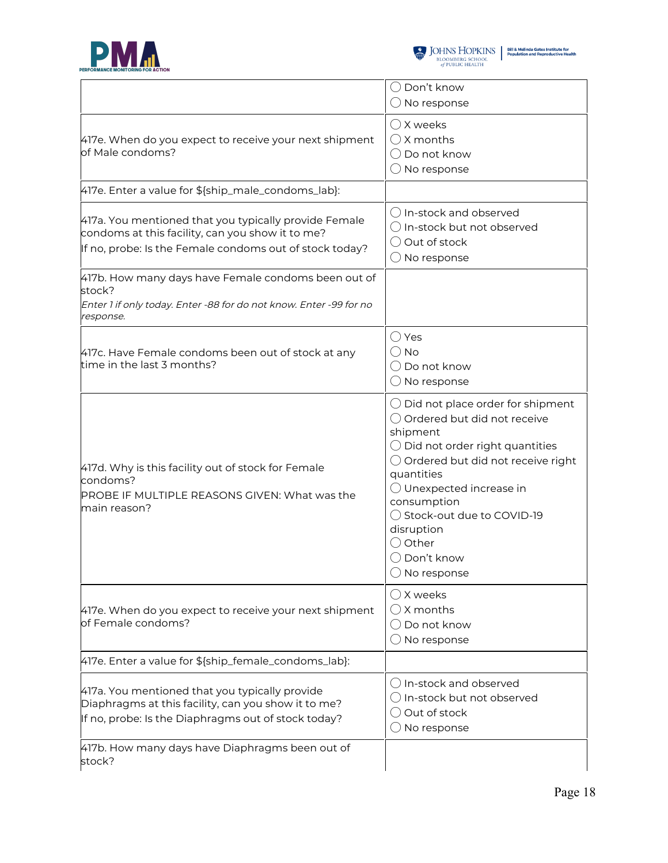



|                                                                                                                                                                      | ◯ Don't know<br>$\bigcirc$ No response                                                                                                                                                                                                                                                                                                                                      |
|----------------------------------------------------------------------------------------------------------------------------------------------------------------------|-----------------------------------------------------------------------------------------------------------------------------------------------------------------------------------------------------------------------------------------------------------------------------------------------------------------------------------------------------------------------------|
| 417e. When do you expect to receive your next shipment<br>of Male condoms?                                                                                           | $\bigcirc$ X weeks<br>$\bigcirc$ X months<br>$\bigcirc$ Do not know<br>$\bigcirc$ No response                                                                                                                                                                                                                                                                               |
| 417e. Enter a value for \${ship_male_condoms_lab}:                                                                                                                   |                                                                                                                                                                                                                                                                                                                                                                             |
| 417a. You mentioned that you typically provide Female<br>condoms at this facility, can you show it to me?<br>If no, probe: Is the Female condoms out of stock today? | () In-stock and observed<br>$\bigcirc$ In-stock but not observed<br>$\bigcirc$ Out of stock<br>$\bigcirc$ No response                                                                                                                                                                                                                                                       |
| 417b. How many days have Female condoms been out of<br>stock?<br>Enter 1 if only today. Enter -88 for do not know. Enter -99 for no<br>response.                     |                                                                                                                                                                                                                                                                                                                                                                             |
| 417c. Have Female condoms been out of stock at any<br>time in the last 3 months?                                                                                     | $\bigcirc$ Yes<br>$\bigcirc$ No<br>◯ Do not know<br>$\bigcirc$ No response                                                                                                                                                                                                                                                                                                  |
| 417d. Why is this facility out of stock for Female<br>condoms?<br>PROBE IF MULTIPLE REASONS GIVEN: What was the<br>main reason?                                      | $\bigcirc$ Did not place order for shipment<br>○ Ordered but did not receive<br>shipment<br>$\bigcirc$ Did not order right quantities<br>$\bigcirc$ Ordered but did not receive right<br>quantities<br>$\bigcirc$ Unexpected increase in<br>consumption<br>◯ Stock-out due to COVID-19<br>disruption<br>$\bigcirc$ Other<br>$\bigcirc$ Don't know<br>$\bigcirc$ No response |
| 417e. When do you expect to receive your next shipment<br>of Female condoms?                                                                                         | $\bigcirc$ X weeks<br>$\bigcirc$ X months<br>$\bigcirc$ Do not know<br>$\bigcirc$ No response                                                                                                                                                                                                                                                                               |
| 417e. Enter a value for \${ship_female_condoms_lab}:                                                                                                                 |                                                                                                                                                                                                                                                                                                                                                                             |
| 417a. You mentioned that you typically provide<br>Diaphragms at this facility, can you show it to me?<br>If no, probe: Is the Diaphragms out of stock today?         | $\bigcirc$ In-stock and observed<br>$\bigcirc$ In-stock but not observed<br>$\bigcirc$ Out of stock<br>$\bigcirc$ No response                                                                                                                                                                                                                                               |
| 417b. How many days have Diaphragms been out of<br>stock?                                                                                                            |                                                                                                                                                                                                                                                                                                                                                                             |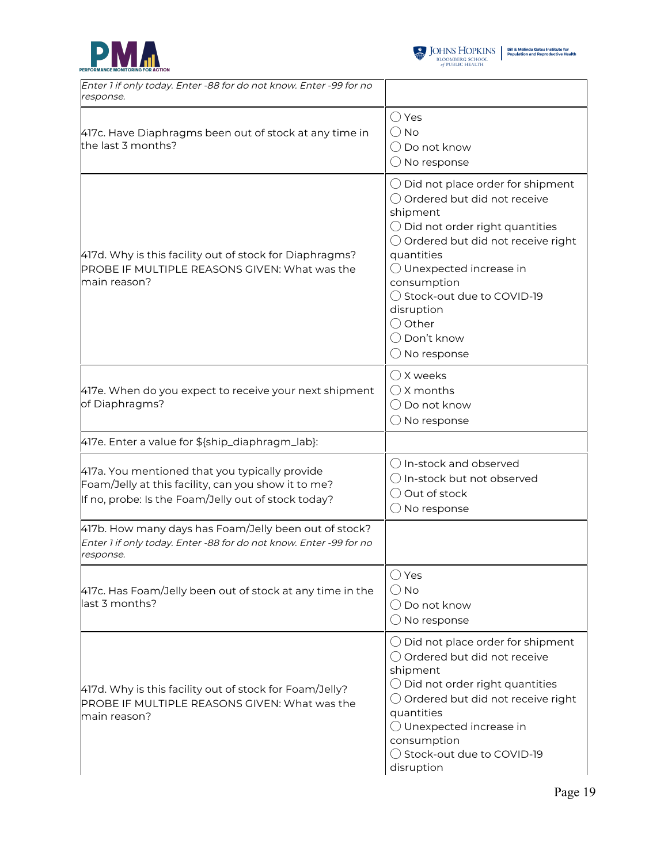



| Enter 1 if only today. Enter -88 for do not know. Enter -99 for no<br>response.                                                                              |                                                                                                                                                                                                                                                                                                                                                                    |
|--------------------------------------------------------------------------------------------------------------------------------------------------------------|--------------------------------------------------------------------------------------------------------------------------------------------------------------------------------------------------------------------------------------------------------------------------------------------------------------------------------------------------------------------|
| 417c. Have Diaphragms been out of stock at any time in<br>the last 3 months?                                                                                 | $\bigcirc$ Yes<br>() No<br>$\bigcirc$ Do not know<br>$\bigcirc$ No response                                                                                                                                                                                                                                                                                        |
| 417d. Why is this facility out of stock for Diaphragms?<br>PROBE IF MULTIPLE REASONS GIVEN: What was the<br>main reason?                                     | $\bigcirc$ Did not place order for shipment<br>◯ Ordered but did not receive<br>shipment<br>$\bigcirc$ Did not order right quantities<br>$\bigcirc$ Ordered but did not receive right<br>quantities<br>$\bigcirc$ Unexpected increase in<br>consumption<br>◯ Stock-out due to COVID-19<br>disruption<br>◯ Other<br>$\bigcirc$ Don't know<br>$\bigcirc$ No response |
| 417e. When do you expect to receive your next shipment<br>of Diaphragms?                                                                                     | $\bigcirc$ X weeks<br>$\bigcap$ X months<br>$\bigcirc$ Do not know<br>$\bigcirc$ No response                                                                                                                                                                                                                                                                       |
| 417e. Enter a value for \${ship_diaphragm_lab}:                                                                                                              |                                                                                                                                                                                                                                                                                                                                                                    |
| 417a. You mentioned that you typically provide<br>Foam/Jelly at this facility, can you show it to me?<br>If no, probe: Is the Foam/Jelly out of stock today? | () In-stock and observed<br>$\bigcirc$ In-stock but not observed<br>◯ Out of stock<br>$\bigcirc$ No response                                                                                                                                                                                                                                                       |
| 417b. How many days has Foam/Jelly been out of stock?<br>Enter 1 if only today. Enter -88 for do not know. Enter -99 for no<br>response.                     |                                                                                                                                                                                                                                                                                                                                                                    |
| 417c. Has Foam/Jelly been out of stock at any time in the<br>last 3 months?                                                                                  | $\bigcirc$ Yes<br>() No<br>$\bigcirc$ Do not know<br>$\bigcirc$ No response                                                                                                                                                                                                                                                                                        |
| 417d. Why is this facility out of stock for Foam/Jelly?<br>PROBE IF MULTIPLE REASONS GIVEN: What was the<br>main reason?                                     | $\bigcirc$ Did not place order for shipment<br>○ Ordered but did not receive<br>shipment<br>$\bigcirc$ Did not order right quantities<br>$\bigcirc$ Ordered but did not receive right<br>quantities<br>$\bigcirc$ Unexpected increase in<br>consumption<br>◯ Stock-out due to COVID-19<br>disruption                                                               |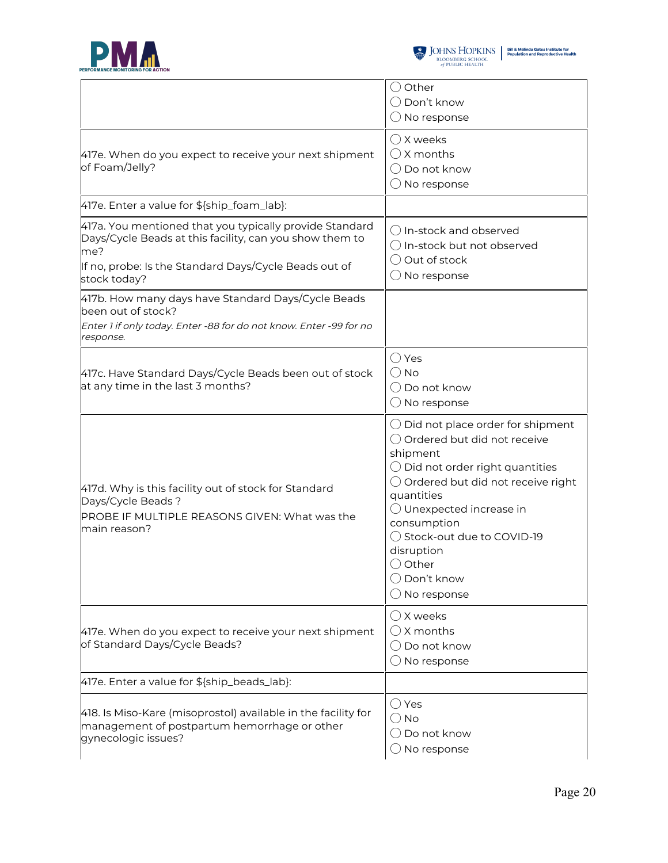



|                                                                                                                                                                                                    | $\bigcirc$ Other<br>$\bigcirc$ Don't know<br>$\bigcirc$ No response                                                                                                                                                                                                                                                                                                  |
|----------------------------------------------------------------------------------------------------------------------------------------------------------------------------------------------------|----------------------------------------------------------------------------------------------------------------------------------------------------------------------------------------------------------------------------------------------------------------------------------------------------------------------------------------------------------------------|
| 417e. When do you expect to receive your next shipment<br>of Foam/Jelly?                                                                                                                           | $\bigcirc$ X weeks<br>$\bigcirc$ X months<br>$\bigcirc$ Do not know<br>$\bigcirc$ No response                                                                                                                                                                                                                                                                        |
| 417e. Enter a value for \${ship_foam_lab}:                                                                                                                                                         |                                                                                                                                                                                                                                                                                                                                                                      |
| 417a. You mentioned that you typically provide Standard<br>Days/Cycle Beads at this facility, can you show them to<br>me?<br>If no, probe: Is the Standard Days/Cycle Beads out of<br>stock today? | () In-stock and observed<br>$\bigcirc$ In-stock but not observed<br>◯ Out of stock<br>$\bigcirc$ No response                                                                                                                                                                                                                                                         |
| 417b. How many days have Standard Days/Cycle Beads<br>been out of stock?<br>Enter 1 if only today. Enter -88 for do not know. Enter -99 for no<br>response.                                        |                                                                                                                                                                                                                                                                                                                                                                      |
| 417c. Have Standard Days/Cycle Beads been out of stock<br>at any time in the last 3 months?                                                                                                        | $\bigcirc$ Yes<br>$\bigcirc$ No<br>$\bigcirc$ Do not know<br>$\bigcirc$ No response                                                                                                                                                                                                                                                                                  |
| 417d. Why is this facility out of stock for Standard<br>Days/Cycle Beads?<br>PROBE IF MULTIPLE REASONS GIVEN: What was the<br>main reason?                                                         | $\bigcirc$ Did not place order for shipment<br>◯ Ordered but did not receive<br>shipment<br>$\bigcirc$ Did not order right quantities<br>$\bigcirc$ Ordered but did not receive right<br>quantities<br>$\bigcirc$ Unexpected increase in<br>consumption<br>◯ Stock-out due to COVID-19<br>disruption<br>( ) Other<br>$\bigcirc$ Don't know<br>$\bigcirc$ No response |
| 417e. When do you expect to receive your next shipment<br>of Standard Days/Cycle Beads?                                                                                                            | $\bigcirc$ X weeks<br>$\bigcirc$ X months<br>$\bigcirc$ Do not know<br>$\bigcirc$ No response                                                                                                                                                                                                                                                                        |
| 417e. Enter a value for \${ship_beads_lab}:                                                                                                                                                        |                                                                                                                                                                                                                                                                                                                                                                      |
| 418. Is Miso-Kare (misoprostol) available in the facility for<br>management of postpartum hemorrhage or other<br>gynecologic issues?                                                               | $\bigcirc$ Yes<br>$\bigcirc$ No<br>$\bigcirc$ Do not know<br>$\bigcirc$ No response                                                                                                                                                                                                                                                                                  |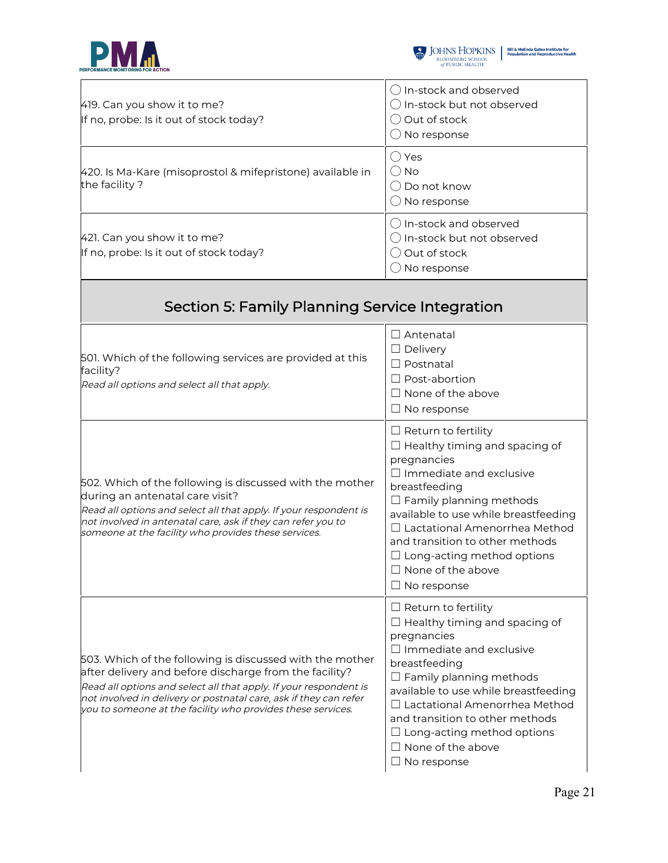



| 419. Can you show it to me?<br>If no, probe: Is it out of stock today?                                                                                                                                                                                                                                                      | $\bigcirc$ In-stock and observed<br>$\bigcirc$ In-stock but not observed<br>$\bigcirc$ Out of stock<br>$\bigcirc$ No response                                                                                                                                                                                                                                                    |
|-----------------------------------------------------------------------------------------------------------------------------------------------------------------------------------------------------------------------------------------------------------------------------------------------------------------------------|----------------------------------------------------------------------------------------------------------------------------------------------------------------------------------------------------------------------------------------------------------------------------------------------------------------------------------------------------------------------------------|
| 420. Is Ma-Kare (misoprostol & mifepristone) available in<br>the facility?                                                                                                                                                                                                                                                  | $\bigcirc$ Yes<br>$\bigcirc$ No<br>$\bigcirc$ Do not know<br>$\bigcirc$ No response                                                                                                                                                                                                                                                                                              |
| 421. Can you show it to me?<br>If no, probe: Is it out of stock today?                                                                                                                                                                                                                                                      | $\bigcirc$ In-stock and observed<br>$\bigcirc$ In-stock but not observed<br>O Out of stock<br>$\bigcirc$ No response                                                                                                                                                                                                                                                             |
| Section 5: Family Planning Service Integration                                                                                                                                                                                                                                                                              |                                                                                                                                                                                                                                                                                                                                                                                  |
| 501. Which of the following services are provided at this<br>facility?<br>Read all options and select all that apply.                                                                                                                                                                                                       | $\Box$ Antenatal<br>$\Box$ Delivery<br>$\Box$ Postnatal<br>$\Box$ Post-abortion<br>$\Box$ None of the above<br>$\Box$ No response                                                                                                                                                                                                                                                |
| 502. Which of the following is discussed with the mother<br>during an antenatal care visit?<br>Read all options and select all that apply. If your respondent is<br>not involved in antenatal care, ask if they can refer you to<br>someone at the facility who provides these services.                                    | $\Box$ Return to fertility<br>$\Box$ Healthy timing and spacing of<br>pregnancies<br>$\Box$ Immediate and exclusive<br>breastfeeding<br>$\Box$ Family planning methods<br>available to use while breastfeeding<br>$\Box$ Lactational Amenorrhea Method<br>and transition to other methods<br>$\Box$ Long-acting method options<br>$\Box$ None of the above<br>$\Box$ No response |
| 503. Which of the following is discussed with the mother<br>after delivery and before discharge from the facility?<br>Read all options and select all that apply. If your respondent is<br>not involved in delivery or postnatal care, ask if they can refer<br>you to someone at the facility who provides these services. | $\Box$ Return to fertility<br>$\Box$ Healthy timing and spacing of<br>pregnancies<br>$\Box$ Immediate and exclusive<br>breastfeeding<br>$\Box$ Family planning methods<br>available to use while breastfeeding<br>□ Lactational Amenorrhea Method<br>and transition to other methods<br>$\Box$ Long-acting method options<br>$\Box$ None of the above<br>$\Box$ No response      |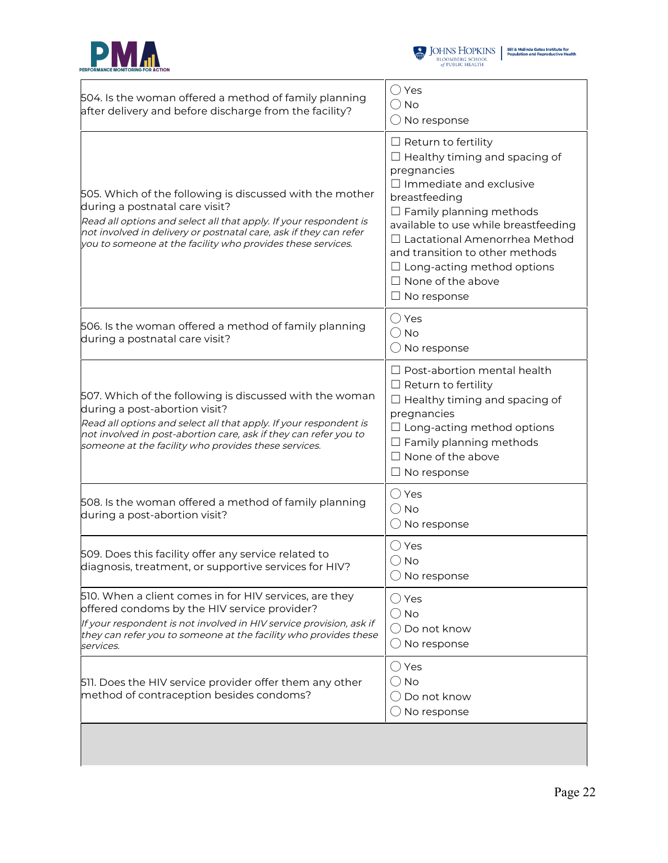



| 504. Is the woman offered a method of family planning<br>after delivery and before discharge from the facility?                                                                                                                                                                                     | $\bigcirc$ Yes<br>$\bigcirc$ No<br>$\bigcirc$ No response                                                                                                                                                                                                                                                                                                                   |
|-----------------------------------------------------------------------------------------------------------------------------------------------------------------------------------------------------------------------------------------------------------------------------------------------------|-----------------------------------------------------------------------------------------------------------------------------------------------------------------------------------------------------------------------------------------------------------------------------------------------------------------------------------------------------------------------------|
| 505. Which of the following is discussed with the mother<br>during a postnatal care visit?<br>Read all options and select all that apply. If your respondent is<br>not involved in delivery or postnatal care, ask if they can refer<br>you to someone at the facility who provides these services. | $\Box$ Return to fertility<br>$\Box$ Healthy timing and spacing of<br>pregnancies<br>$\Box$ Immediate and exclusive<br>breastfeeding<br>$\Box$ Family planning methods<br>available to use while breastfeeding<br>□ Lactational Amenorrhea Method<br>and transition to other methods<br>$\Box$ Long-acting method options<br>$\Box$ None of the above<br>$\Box$ No response |
| 506. Is the woman offered a method of family planning<br>during a postnatal care visit?                                                                                                                                                                                                             | $\bigcirc$ Yes<br>$\bigcirc$ No<br>$\bigcirc$ No response                                                                                                                                                                                                                                                                                                                   |
| 507. Which of the following is discussed with the woman<br>during a post-abortion visit?<br>Read all options and select all that apply. If your respondent is<br>not involved in post-abortion care, ask if they can refer you to<br>someone at the facility who provides these services.           | $\Box$ Post-abortion mental health<br>$\Box$ Return to fertility<br>$\Box$ Healthy timing and spacing of<br>pregnancies<br>$\Box$ Long-acting method options<br>$\Box$ Family planning methods<br>$\Box$ None of the above<br>$\Box$ No response                                                                                                                            |
| 508. Is the woman offered a method of family planning<br>during a post-abortion visit?                                                                                                                                                                                                              | $\bigcirc$ Yes<br>$\bigcirc$ No<br>$\bigcirc$ No response                                                                                                                                                                                                                                                                                                                   |
| 509. Does this facility offer any service related to<br>diagnosis, treatment, or supportive services for HIV?                                                                                                                                                                                       | $\bigcirc$ Yes<br>$\bigcirc$ No<br>$\bigcirc$ No response                                                                                                                                                                                                                                                                                                                   |
| 510. When a client comes in for HIV services, are they<br>offered condoms by the HIV service provider?<br>If your respondent is not involved in HIV service provision, ask if<br>they can refer you to someone at the facility who provides these<br>services.                                      | $\bigcirc$ Yes<br>$\bigcirc$ No<br>$\bigcirc$ Do not know<br>$\bigcirc$ No response                                                                                                                                                                                                                                                                                         |
| 511. Does the HIV service provider offer them any other<br>method of contraception besides condoms?                                                                                                                                                                                                 | $\bigcirc$ Yes<br>$\bigcirc$ No<br>$\bigcirc$ Do not know<br>$\bigcirc$ No response                                                                                                                                                                                                                                                                                         |
|                                                                                                                                                                                                                                                                                                     |                                                                                                                                                                                                                                                                                                                                                                             |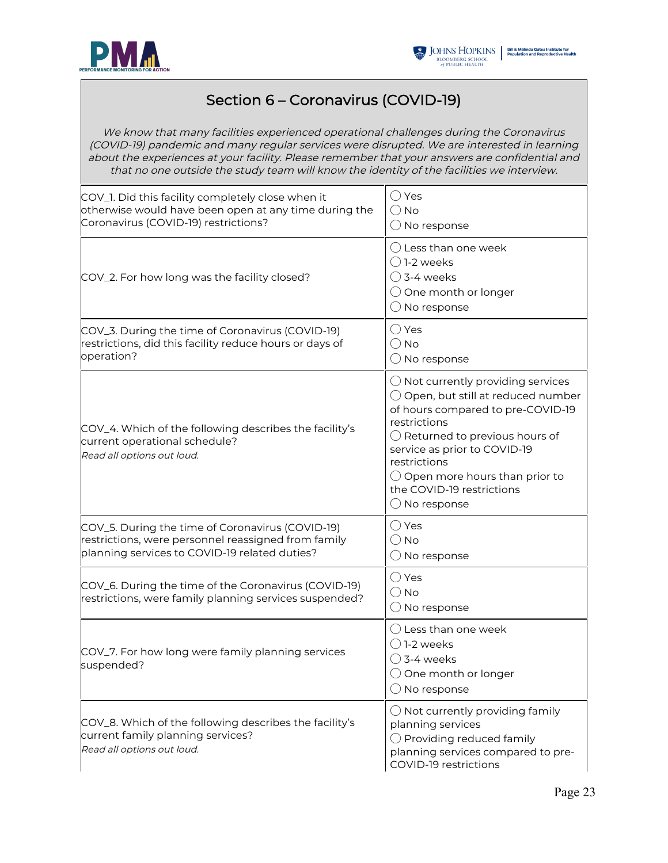



#### Section 6 – Coronavirus (COVID-19)

We know that many facilities experienced operational challenges during the Coronavirus (COVID-19) pandemic and many regular services were disrupted. We are interested in learning about the experiences at your facility. Please remember that your answers are confidential and that no one outside the study team will know the identity of the facilities we interview.

| COV_1. Did this facility completely close when it<br>otherwise would have been open at any time during the<br>Coronavirus (COVID-19) restrictions?       | $\bigcirc$ Yes<br>$\bigcirc$ No<br>$\bigcirc$ No response                                                                                                                                                                                                                                                                                       |
|----------------------------------------------------------------------------------------------------------------------------------------------------------|-------------------------------------------------------------------------------------------------------------------------------------------------------------------------------------------------------------------------------------------------------------------------------------------------------------------------------------------------|
| COV_2. For how long was the facility closed?                                                                                                             | $\bigcirc$ Less than one week<br>$\bigcap$ 1-2 weeks<br>$\bigcirc$ 3-4 weeks<br>$\bigcirc$ One month or longer<br>$\bigcirc$ No response                                                                                                                                                                                                        |
| COV_3. During the time of Coronavirus (COVID-19)<br>restrictions, did this facility reduce hours or days of<br>operation?                                | $\bigcirc$ Yes<br>$\bigcirc$ No<br>$\bigcirc$ No response                                                                                                                                                                                                                                                                                       |
| COV_4. Which of the following describes the facility's<br>current operational schedule?<br>Read all options out loud.                                    | $\bigcirc$ Not currently providing services<br>$\bigcirc$ Open, but still at reduced number<br>of hours compared to pre-COVID-19<br>restrictions<br>$\bigcirc$ Returned to previous hours of<br>service as prior to COVID-19<br>restrictions<br>$\bigcirc$ Open more hours than prior to<br>the COVID-19 restrictions<br>$\bigcirc$ No response |
| COV_5. During the time of Coronavirus (COVID-19)<br>restrictions, were personnel reassigned from family<br>planning services to COVID-19 related duties? | $\bigcirc$ Yes<br>$\bigcirc$ No<br>$\bigcirc$ No response                                                                                                                                                                                                                                                                                       |
| COV_6. During the time of the Coronavirus (COVID-19)<br>restrictions, were family planning services suspended?                                           | $\bigcirc$ Yes<br>$\bigcirc$ No<br>$\bigcirc$ No response                                                                                                                                                                                                                                                                                       |
| COV_7. For how long were family planning services<br>suspended?                                                                                          | $\bigcirc$ Less than one week<br>$()$ 1-2 weeks<br>$\bigcirc$ 3-4 weeks<br>$\bigcirc$ One month or longer<br>$\bigcirc$ No response                                                                                                                                                                                                             |
| COV_8. Which of the following describes the facility's<br>current family planning services?<br>Read all options out loud.                                | $\bigcirc$ Not currently providing family<br>planning services<br>$\bigcirc$ Providing reduced family<br>planning services compared to pre-<br>COVID-19 restrictions                                                                                                                                                                            |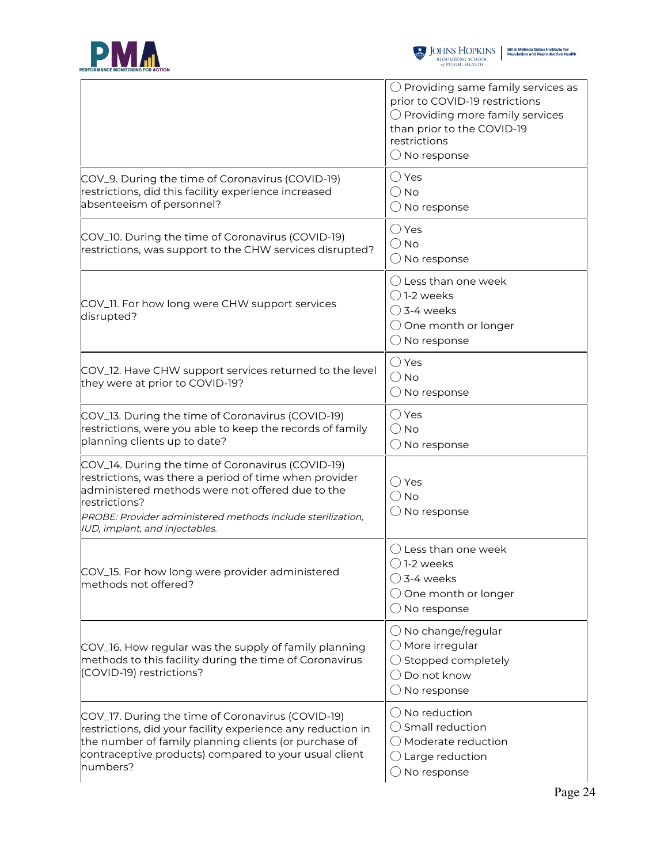



|                                                                                                                                                                                                                                                                                   | $\bigcirc$ Providing same family services as<br>prior to COVID-19 restrictions<br>$\bigcirc$ Providing more family services<br>than prior to the COVID-19<br>restrictions<br>$\bigcirc$ No response |
|-----------------------------------------------------------------------------------------------------------------------------------------------------------------------------------------------------------------------------------------------------------------------------------|-----------------------------------------------------------------------------------------------------------------------------------------------------------------------------------------------------|
| COV_9. During the time of Coronavirus (COVID-19)<br>restrictions, did this facility experience increased<br>absenteeism of personnel?                                                                                                                                             | $\bigcirc$ Yes<br>$\bigcirc$ No<br>$\bigcirc$ No response                                                                                                                                           |
| COV_10. During the time of Coronavirus (COVID-19)<br>restrictions, was support to the CHW services disrupted?                                                                                                                                                                     | $\bigcirc$ Yes<br>$\bigcirc$ No<br>$\bigcirc$ No response                                                                                                                                           |
| COV_11. For how long were CHW support services<br>disrupted?                                                                                                                                                                                                                      | () Less than one week<br>$\bigcap$ 1-2 weeks<br>$\bigcirc$ 3-4 weeks<br>$\bigcirc$ One month or longer<br>$\bigcirc$ No response                                                                    |
| COV_12. Have CHW support services returned to the level<br>they were at prior to COVID-19?                                                                                                                                                                                        | $\bigcirc$ Yes<br>$\bigcirc$ No<br>$\bigcirc$ No response                                                                                                                                           |
| COV_13. During the time of Coronavirus (COVID-19)<br>restrictions, were you able to keep the records of family<br>planning clients up to date?                                                                                                                                    | $\bigcirc$ Yes<br>$\bigcirc$ No<br>$\bigcirc$ No response                                                                                                                                           |
| COV_14. During the time of Coronavirus (COVID-19)<br>restrictions, was there a period of time when provider<br>administered methods were not offered due to the<br>restrictions?<br>PROBE: Provider administered methods include sterilization,<br>IUD, implant, and injectables. | $\bigcirc$ Yes<br>$\bigcirc$ No<br>$\bigcirc$ No response                                                                                                                                           |
| COV_15. For how long were provider administered<br>methods not offered?                                                                                                                                                                                                           | $\bigcap$ Less than one week<br>$\bigcirc$ 1-2 weeks<br>$\bigcirc$ 3-4 weeks<br>$\bigcirc$ One month or longer<br>$\bigcirc$ No response                                                            |
| COV_16. How regular was the supply of family planning<br>methods to this facility during the time of Coronavirus<br>(COVID-19) restrictions?                                                                                                                                      | $\bigcirc$ No change/regular<br>$\bigcirc$ More irregular<br>$\bigcirc$ Stopped completely<br>$\bigcirc$ Do not know<br>$\bigcirc$ No response                                                      |
| COV_17. During the time of Coronavirus (COVID-19)<br>restrictions, did your facility experience any reduction in<br>the number of family planning clients (or purchase of<br>contraceptive products) compared to your usual client<br>numbers?                                    | $\bigcirc$ No reduction<br>$\bigcirc$ Small reduction<br>$\bigcirc$ Moderate reduction<br>$\bigcirc$ Large reduction<br>$\bigcirc$ No response                                                      |